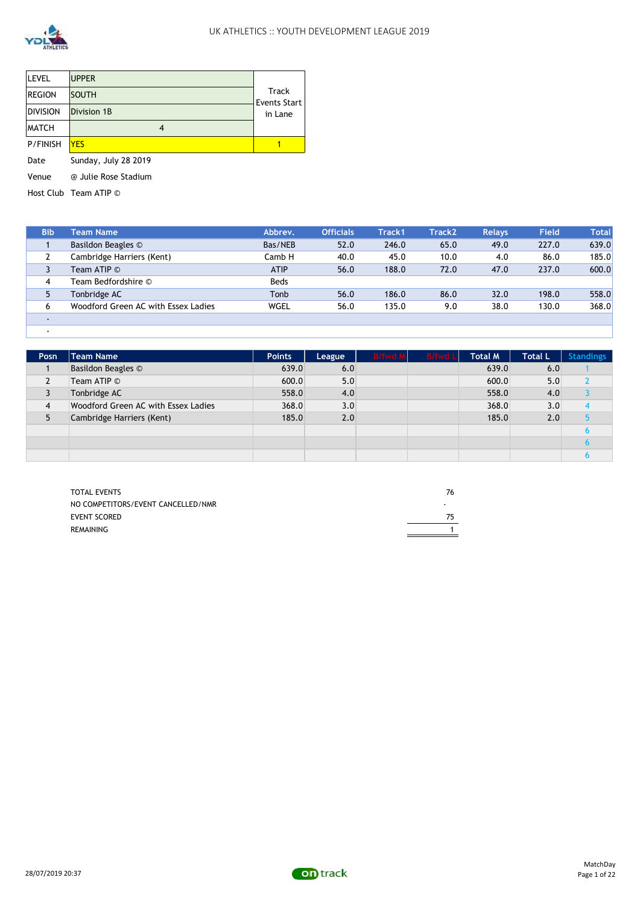

| LEVEL           | <b>UPPER</b>         |                              |
|-----------------|----------------------|------------------------------|
| <b>REGION</b>   | <b>SOUTH</b>         | Track<br><b>Events Start</b> |
| DIVISION        | Division 1B          | in Lane                      |
| <b>IMATCH</b>   | 4                    |                              |
| <b>P/FINISH</b> | <b>YES</b>           |                              |
| Date            | Sunday, July 28 2019 |                              |
| Venue           | @ Julie Rose Stadium |                              |

Host Club Team ATIP ©

| <b>Bib</b>               | <b>Team Name</b>                    | Abbrev.     | <b>Officials</b> | <b>Track1</b> | <b>Track2</b> | <b>Relays</b> | <b>Field</b> | <b>Total</b> |
|--------------------------|-------------------------------------|-------------|------------------|---------------|---------------|---------------|--------------|--------------|
|                          | Basildon Beagles ©                  | Bas/NEB     | 52.0             | 246.0         | 65.0          | 49.0          | 227.0        | 639.0        |
|                          | Cambridge Harriers (Kent)           | Camb H      | 40.0             | 45.0          | 10.0          | 4.0           | 86.0         | 185.0        |
| 3                        | Team ATIP ©                         | <b>ATIP</b> | 56.0             | 188.0         | 72.0          | 47.0          | 237.0        | 600.0        |
| 4                        | Team Bedfordshire ©                 | <b>Beds</b> |                  |               |               |               |              |              |
| 5                        | Tonbridge AC                        | Tonb        | 56.0             | 186.0         | 86.0          | 32.0          | 198.0        | 558.0        |
| 6                        | Woodford Green AC with Essex Ladies | <b>WGEL</b> | 56.0             | 135.0         | 9.0           | 38.0          | 130.0        | 368.0        |
| $\blacksquare$           |                                     |             |                  |               |               |               |              |              |
| $\overline{\phantom{a}}$ |                                     |             |                  |               |               |               |              |              |

| Posn           | Team Name                           | <b>Points</b> | League | <b>B/fwd M</b> | <b>B/fwd Ll</b> | <b>Total M</b> | <b>Total L</b> | <b>Standings</b> |
|----------------|-------------------------------------|---------------|--------|----------------|-----------------|----------------|----------------|------------------|
|                | Basildon Beagles ©                  | 639.0         | 6.0    |                |                 | 639.0          | 6.0            |                  |
|                | Team ATIP ©                         | 600.0         | 5.0    |                |                 | 600.0          | 5.0            |                  |
|                | Tonbridge AC                        | 558.0         | 4.0    |                |                 | 558.0          | 4.0            |                  |
| $\overline{4}$ | Woodford Green AC with Essex Ladies | 368.0         | 3.0    |                |                 | 368.0          | 3.0            |                  |
|                | Cambridge Harriers (Kent)           | 185.0         | 2.0    |                |                 | 185.0          | 2.0            |                  |
|                |                                     |               |        |                |                 |                |                |                  |
|                |                                     |               |        |                |                 |                |                |                  |
|                |                                     |               |        |                |                 |                |                |                  |

| <b>TOTAL EVENTS</b>                | 76   |
|------------------------------------|------|
| NO COMPETITORS/EVENT CANCELLED/NMR | $\,$ |
| <b>EVENT SCORED</b>                | 75   |
| REMAINING                          |      |
|                                    |      |

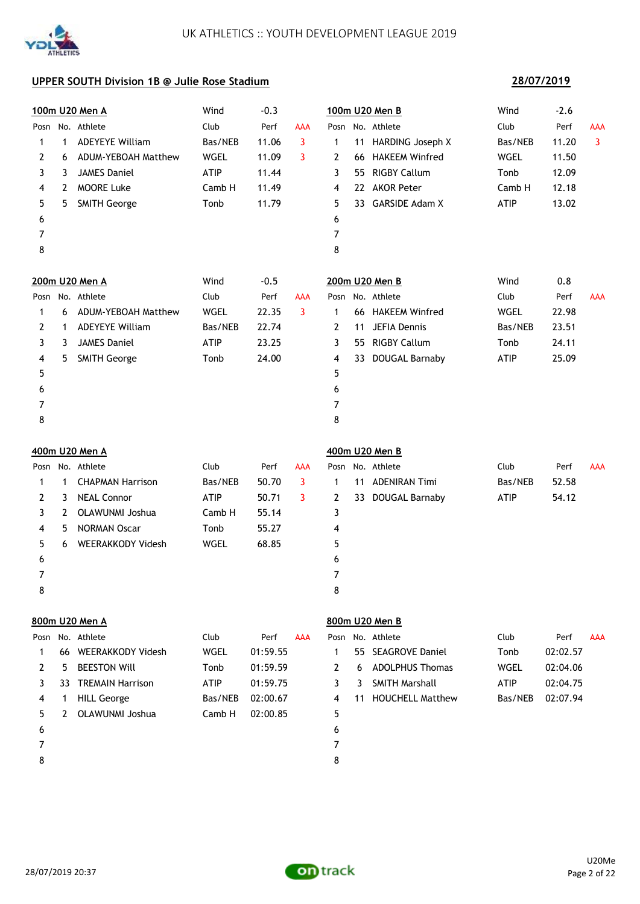

## **28/07/2019**

|                |    | 100m U20 Men A          | Wind        | $-0.3$   |                |                |     | 100m U20 Men B          | Wind        | $-2.6$   |                         |
|----------------|----|-------------------------|-------------|----------|----------------|----------------|-----|-------------------------|-------------|----------|-------------------------|
|                |    | Posn No. Athlete        | Club        | Perf     | <b>AAA</b>     |                |     | Posn No. Athlete        | Club        | Perf     | AAA                     |
| 1              | 1  | <b>ADEYEYE William</b>  | Bas/NEB     | 11.06    | $\overline{3}$ | 1              | 11  | <b>HARDING Joseph X</b> | Bas/NEB     | 11.20    | $\overline{\mathbf{3}}$ |
| 2              | 6  | ADUM-YEBOAH Matthew     | WGEL        | 11.09    | 3              | $\overline{2}$ | 66  | <b>HAKEEM Winfred</b>   | WGEL        | 11.50    |                         |
| 3              | 3  | <b>JAMES Daniel</b>     | <b>ATIP</b> | 11.44    |                | 3              | 55. | <b>RIGBY Callum</b>     | Tonb        | 12.09    |                         |
| 4              | 2  | <b>MOORE Luke</b>       | Camb H      | 11.49    |                | 4              |     | 22 AKOR Peter           | Camb H      | 12.18    |                         |
| 5              | 5  | <b>SMITH George</b>     | Tonb        | 11.79    |                | 5              |     | 33 GARSIDE Adam X       | <b>ATIP</b> | 13.02    |                         |
| 6              |    |                         |             |          |                | 6              |     |                         |             |          |                         |
| 7              |    |                         |             |          |                | 7              |     |                         |             |          |                         |
| 8              |    |                         |             |          |                | 8              |     |                         |             |          |                         |
|                |    | 200m U20 Men A          | Wind        | $-0.5$   |                |                |     | 200m U20 Men B          | Wind        | 0.8      |                         |
|                |    | Posn No. Athlete        | Club        | Perf     | <b>AAA</b>     |                |     | Posn No. Athlete        | Club        | Perf     | AAA                     |
| 1              | 6  | ADUM-YEBOAH Matthew     | WGEL        | 22.35    | 3              | 1              |     | 66 HAKEEM Winfred       | WGEL        | 22.98    |                         |
| $\overline{2}$ | 1  | <b>ADEYEYE William</b>  | Bas/NEB     | 22.74    |                | $\overline{2}$ | 11  | <b>JEFIA Dennis</b>     | Bas/NEB     | 23.51    |                         |
| 3              | 3  | <b>JAMES Daniel</b>     | <b>ATIP</b> | 23.25    |                | 3              |     | 55 RIGBY Callum         | Tonb        | 24.11    |                         |
| 4              | 5  | <b>SMITH George</b>     | Tonb        | 24.00    |                | 4              | 33  | DOUGAL Barnaby          | <b>ATIP</b> | 25.09    |                         |
| 5              |    |                         |             |          |                | 5              |     |                         |             |          |                         |
| 6              |    |                         |             |          |                | 6              |     |                         |             |          |                         |
| 7              |    |                         |             |          |                | 7              |     |                         |             |          |                         |
| 8              |    |                         |             |          |                | 8              |     |                         |             |          |                         |
|                |    | 400m U20 Men A          |             |          |                |                |     | 400m U20 Men B          |             |          |                         |
|                |    | Posn No. Athlete        | Club        | Perf     | AAA            |                |     | Posn No. Athlete        | Club        | Perf     | AAA                     |
| 1              | 1  | <b>CHAPMAN Harrison</b> | Bas/NEB     | 50.70    | 3              | 1              | 11  | <b>ADENIRAN Timi</b>    | Bas/NEB     | 52.58    |                         |
| $\overline{2}$ | 3  | <b>NEAL Connor</b>      | <b>ATIP</b> | 50.71    | 3              | $\overline{2}$ |     | 33 DOUGAL Barnaby       | <b>ATIP</b> | 54.12    |                         |
| 3              | 2  | <b>OLAWUNMI Joshua</b>  | Camb H      | 55.14    |                | 3              |     |                         |             |          |                         |
| 4              | 5  | <b>NORMAN Oscar</b>     | Tonb        | 55.27    |                | 4              |     |                         |             |          |                         |
| 5              | 6  | WEERAKKODY Videsh       | WGEL        | 68.85    |                | 5              |     |                         |             |          |                         |
| 6              |    |                         |             |          |                | 6              |     |                         |             |          |                         |
| 7              |    |                         |             |          |                | 7              |     |                         |             |          |                         |
| 8              |    |                         |             |          |                | 8              |     |                         |             |          |                         |
|                |    | 800m U20 Men A          |             |          |                |                |     | 800m U20 Men B          |             |          |                         |
| Posn           |    | No. Athlete             | Club        | Perf     | <b>AAA</b>     |                |     | Posn No. Athlete        | Club        | Perf     | AAA                     |
| 1              | 66 | WEERAKKODY Videsh       | <b>WGEL</b> | 01:59.55 |                | 1              | 55  | <b>SEAGROVE Daniel</b>  | Tonb        | 02:02.57 |                         |
| 2              | 5  | <b>BEESTON Will</b>     | Tonb        | 01:59.59 |                | 2              | 6   | <b>ADOLPHUS Thomas</b>  | <b>WGEL</b> | 02:04.06 |                         |
| 3              | 33 | <b>TREMAIN Harrison</b> | ATIP        | 01:59.75 |                | 3              | 3   | <b>SMITH Marshall</b>   | <b>ATIP</b> | 02:04.75 |                         |
| 4              | 1  | <b>HILL George</b>      | Bas/NEB     | 02:00.67 |                | 4              | 11  | <b>HOUCHELL Matthew</b> | Bas/NEB     | 02:07.94 |                         |
| 5              | 2  | <b>OLAWUNMI Joshua</b>  | Camb H      | 02:00.85 |                | 5              |     |                         |             |          |                         |
| 6              |    |                         |             |          |                | 6              |     |                         |             |          |                         |
| 7              |    |                         |             |          |                | 7              |     |                         |             |          |                         |
| 8              |    |                         |             |          |                | 8              |     |                         |             |          |                         |

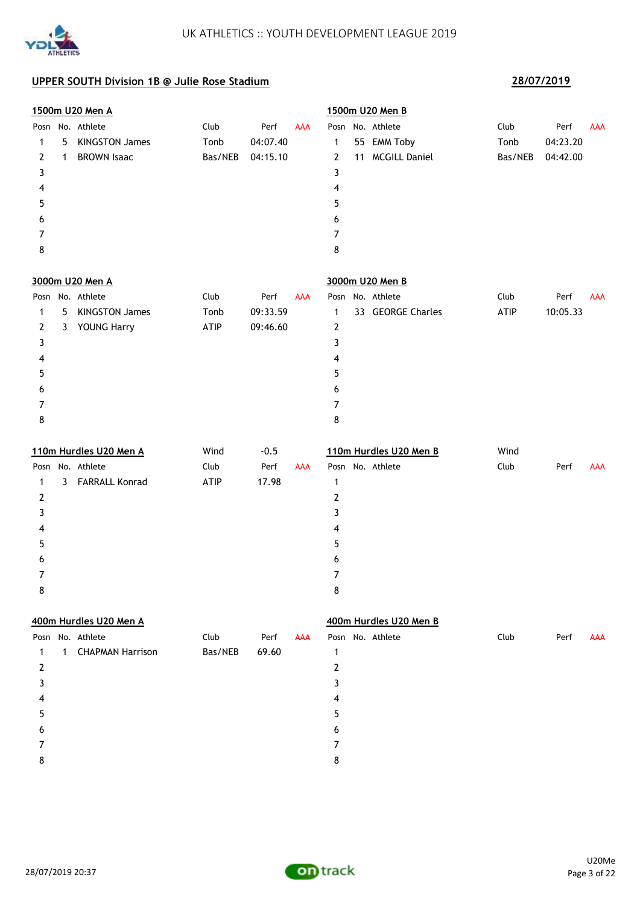

|                |              | <u>1500m U20 Men A</u>  |         |          |            |                | 1500m U20 Men B        |         |          |            |
|----------------|--------------|-------------------------|---------|----------|------------|----------------|------------------------|---------|----------|------------|
|                |              | Posn No. Athlete        | Club    | Perf     | <b>AAA</b> |                | Posn No. Athlete       | Club    | Perf     | <b>AAA</b> |
| 1              | 5.           | <b>KINGSTON James</b>   | Tonb    | 04:07.40 |            | 1              | 55 EMM Toby            | Tonb    | 04:23.20 |            |
| $\overline{2}$ | $\mathbf{1}$ | <b>BROWN Isaac</b>      | Bas/NEB | 04:15.10 |            | $\overline{2}$ | 11 MCGILL Daniel       | Bas/NEB | 04:42.00 |            |
| 3              |              |                         |         |          |            | 3              |                        |         |          |            |
| 4              |              |                         |         |          |            | 4              |                        |         |          |            |
| 5              |              |                         |         |          |            | 5              |                        |         |          |            |
| 6              |              |                         |         |          |            | 6              |                        |         |          |            |
| 7              |              |                         |         |          |            | 7              |                        |         |          |            |
| 8              |              |                         |         |          |            | 8              |                        |         |          |            |
|                |              | 3000m U20 Men A         |         |          |            |                | 3000m U20 Men B        |         |          |            |
|                |              | Posn No. Athlete        | Club    | Perf     | <b>AAA</b> |                | Posn No. Athlete       | Club    | Perf     | AAA        |
| 1              | 5            | <b>KINGSTON James</b>   | Tonb    | 09:33.59 |            | $\mathbf 1$    | 33 GEORGE Charles      | ATIP    | 10:05.33 |            |
| 2              |              | 3 YOUNG Harry           | ATIP    | 09:46.60 |            | $\mathbf{2}$   |                        |         |          |            |
| 3              |              |                         |         |          |            | 3              |                        |         |          |            |
| 4              |              |                         |         |          |            | 4              |                        |         |          |            |
| 5              |              |                         |         |          |            | 5              |                        |         |          |            |
| 6              |              |                         |         |          |            | 6              |                        |         |          |            |
| 7              |              |                         |         |          |            | 7              |                        |         |          |            |
| 8              |              |                         |         |          |            | 8              |                        |         |          |            |
|                |              | 110m Hurdles U20 Men A  | Wind    | $-0.5$   |            |                | 110m Hurdles U20 Men B | Wind    |          |            |
|                |              | Posn No. Athlete        | Club    | Perf     | <b>AAA</b> |                | Posn No. Athlete       | Club    | Perf     | <b>AAA</b> |
| 1              |              | 3 FARRALL Konrad        | ATIP    | 17.98    |            | $\mathbf{1}$   |                        |         |          |            |
| $\overline{2}$ |              |                         |         |          |            | $\mathbf{2}$   |                        |         |          |            |
| 3              |              |                         |         |          |            | 3              |                        |         |          |            |
| 4              |              |                         |         |          |            | 4              |                        |         |          |            |
| 5              |              |                         |         |          |            | 5              |                        |         |          |            |
| 6              |              |                         |         |          |            | 6              |                        |         |          |            |
| 7              |              |                         |         |          |            | 7              |                        |         |          |            |
| 8              |              |                         |         |          |            | 8              |                        |         |          |            |
|                |              | 400m Hurdles U20 Men A  |         |          |            |                | 400m Hurdles U20 Men B |         |          |            |
|                |              | Posn No. Athlete        | Club    | Perf     | <b>AAA</b> |                | Posn No. Athlete       | Club    | Perf     | <b>AAA</b> |
| 1              | $\mathbf{1}$ | <b>CHAPMAN Harrison</b> | Bas/NEB | 69.60    |            | 1              |                        |         |          |            |
| $\overline{2}$ |              |                         |         |          |            | $\mathbf{2}$   |                        |         |          |            |
| 3              |              |                         |         |          |            | 3              |                        |         |          |            |
| 4              |              |                         |         |          |            | 4              |                        |         |          |            |
| 5              |              |                         |         |          |            | 5              |                        |         |          |            |
| 6              |              |                         |         |          |            | 6              |                        |         |          |            |
| 7              |              |                         |         |          |            | 7              |                        |         |          |            |
| 8              |              |                         |         |          |            | 8              |                        |         |          |            |

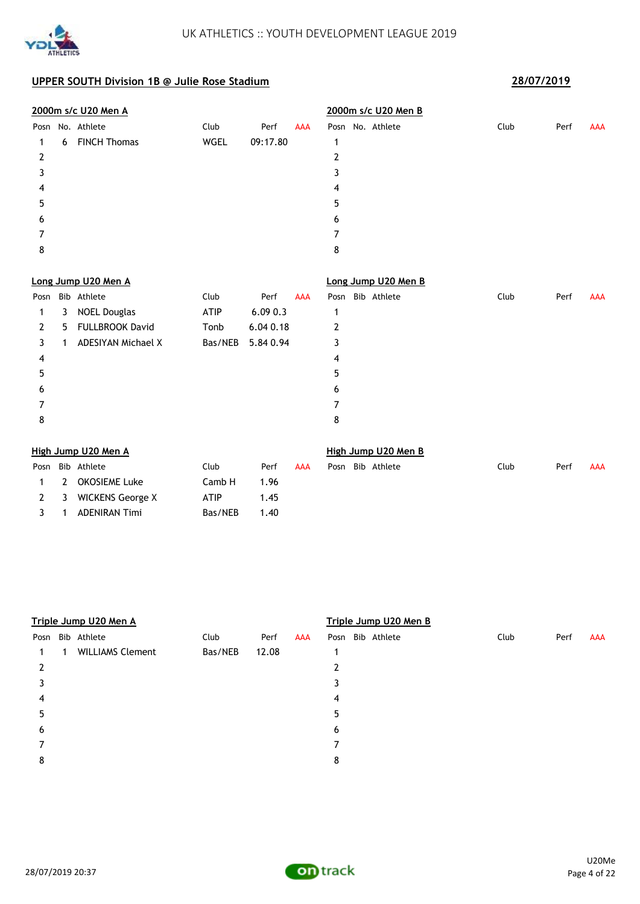

|      |   | 2000m s/c U20 Men A       |             |           |            | 2000m s/c U20 Men B |      |      |            |
|------|---|---------------------------|-------------|-----------|------------|---------------------|------|------|------------|
| Posn |   | No. Athlete               | Club        | Perf      | <b>AAA</b> | Posn No. Athlete    | Club | Perf | <b>AAA</b> |
| 1    | 6 | <b>FINCH Thomas</b>       | <b>WGEL</b> | 09:17.80  |            | 1                   |      |      |            |
| 2    |   |                           |             |           |            | $\mathbf{2}$        |      |      |            |
| 3    |   |                           |             |           |            | 3                   |      |      |            |
| 4    |   |                           |             |           |            | 4                   |      |      |            |
| 5    |   |                           |             |           |            | 5                   |      |      |            |
| 6    |   |                           |             |           |            | 6                   |      |      |            |
| 7    |   |                           |             |           |            | 7                   |      |      |            |
| 8    |   |                           |             |           |            | 8                   |      |      |            |
|      |   | Long Jump U20 Men A       |             |           |            | Long Jump U20 Men B |      |      |            |
| Posn |   | Bib Athlete               | Club        | Perf      | <b>AAA</b> | Bib Athlete<br>Posn | Club | Perf | <b>AAA</b> |
| 1    | 3 | <b>NOEL Douglas</b>       | <b>ATIP</b> | 6.090.3   |            | 1                   |      |      |            |
| 2    | 5 | <b>FULLBROOK David</b>    | Tonb        | 6.04 0.18 |            | $\mathbf{2}$        |      |      |            |
| 3    | 1 | <b>ADESIYAN Michael X</b> | Bas/NEB     | 5.84 0.94 |            | 3                   |      |      |            |
| 4    |   |                           |             |           |            | 4                   |      |      |            |
| 5    |   |                           |             |           |            | 5                   |      |      |            |
| 6    |   |                           |             |           |            | 6                   |      |      |            |
| 7    |   |                           |             |           |            | 7                   |      |      |            |
| 8    |   |                           |             |           |            | 8                   |      |      |            |
|      |   | High Jump U20 Men A       |             |           |            | High Jump U20 Men B |      |      |            |
|      |   | Posn Bib Athlete          | Club        | Perf      | <b>AAA</b> | Posn Bib Athlete    | Club | Perf | <b>AAA</b> |

|  | Posn Bib Athlete     | Club          | Perf | AAA |  | Posn Bib Athlete |
|--|----------------------|---------------|------|-----|--|------------------|
|  | 1 2 OKOSIEME Luke    | Camb H $1.96$ |      |     |  |                  |
|  | 2 3 WICKENS George X | ATIP          | 1.45 |     |  |                  |
|  | 3 1 ADENIRAN Timi    | Bas/NEB       | 1.40 |     |  |                  |
|  |                      |               |      |     |  |                  |

|      |   | Triple Jump U20 Men A   |         |       |     | Triple Jump U20 Men B |      |  |             |  |      |      |            |
|------|---|-------------------------|---------|-------|-----|-----------------------|------|--|-------------|--|------|------|------------|
| Posn |   | Bib Athlete             | Club    | Perf  | AAA |                       | Posn |  | Bib Athlete |  | Club | Perf | <b>AAA</b> |
|      | 1 | <b>WILLIAMS Clement</b> | Bas/NEB | 12.08 |     |                       |      |  |             |  |      |      |            |
| 2    |   |                         |         |       |     |                       | 2    |  |             |  |      |      |            |
| 3    |   |                         |         |       |     |                       | 3    |  |             |  |      |      |            |
| 4    |   |                         |         |       |     |                       | 4    |  |             |  |      |      |            |
| 5    |   |                         |         |       |     |                       | 5    |  |             |  |      |      |            |
| 6    |   |                         |         |       |     |                       | 6    |  |             |  |      |      |            |
|      |   |                         |         |       |     |                       | 7    |  |             |  |      |      |            |
| 8    |   |                         |         |       |     |                       | 8    |  |             |  |      |      |            |
|      |   |                         |         |       |     |                       |      |  |             |  |      |      |            |

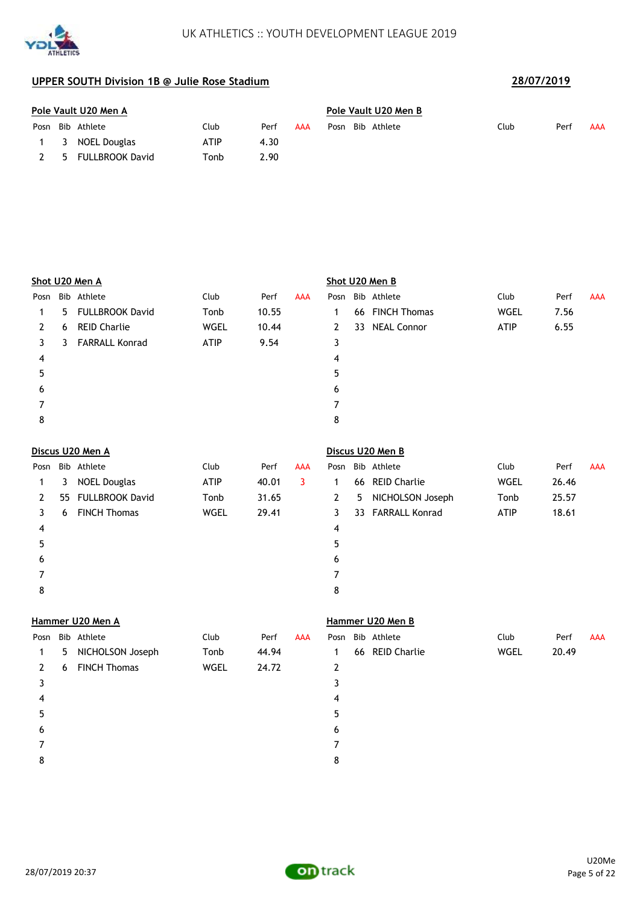



**ATHLETICS** 

|      | Pole Vault U20 Men A |                  |      |      |     |      |  | Pole Vault U20 Men B |      |      |     |  |  |  |  |
|------|----------------------|------------------|------|------|-----|------|--|----------------------|------|------|-----|--|--|--|--|
| Posn |                      | Bib Athlete      | Club | Perf | AAA | Posn |  | Bib Athlete          | Club | Perf | AAA |  |  |  |  |
|      |                      | 1 3 NOEL Douglas | ATIP | 4.30 |     |      |  |                      |      |      |     |  |  |  |  |
|      | - 5                  | FULLBROOK David  | Tonb | 2.90 |     |      |  |                      |      |      |     |  |  |  |  |

|      |    | Shot U20 Men A         |             |       |            | Shot U20 Men B |    |                    |             |       |            |  |
|------|----|------------------------|-------------|-------|------------|----------------|----|--------------------|-------------|-------|------------|--|
| Posn |    | Bib Athlete            | Club        | Perf  | <b>AAA</b> | Posn           |    | Bib Athlete        | Club        | Perf  | <b>AAA</b> |  |
|      | 5. | <b>FULLBROOK David</b> | Tonb        | 10.55 |            | 1              |    | 66 FINCH Thomas    | WGEL        | 7.56  |            |  |
| 2    | 6  | <b>REID Charlie</b>    | <b>WGEL</b> | 10.44 |            | 2              | 33 | <b>NEAL Connor</b> | <b>ATIP</b> | 6.55  |            |  |
| 3    | 3  | <b>FARRALL Konrad</b>  | <b>ATIP</b> | 9.54  |            | 3              |    |                    |             |       |            |  |
| 4    |    |                        |             |       |            | 4              |    |                    |             |       |            |  |
| 5    |    |                        |             |       |            | 5              |    |                    |             |       |            |  |
| 6    |    |                        |             |       |            | 6              |    |                    |             |       |            |  |
|      |    |                        |             |       |            | 7              |    |                    |             |       |            |  |
| 8    |    |                        |             |       |            | 8              |    |                    |             |       |            |  |
|      |    | Discus U20 Men A       |             |       |            |                |    | Discus U20 Men B   |             |       |            |  |
| Posn |    | Bib Athlete            | Club        | Perf  | <b>AAA</b> | Posn           |    | Bib Athlete        | Club        | Perf  | AAA        |  |
|      | 3  | <b>NOEL Douglas</b>    | <b>ATIP</b> | 40.01 | 3          |                |    | 66 REID Charlie    | WGEL        | 26.46 |            |  |

|   | 3 | <b>NOEL Douglas</b> | ATIP | 40.01 |   |   | 66 REID Charlie   | WGEL        | 26.46 |
|---|---|---------------------|------|-------|---|---|-------------------|-------------|-------|
|   |   | 55 FULLBROOK David  | Tonb | 31.65 | 2 | 5 | NICHOLSON Joseph  | Tonb        | 25.57 |
|   | 6 | <b>FINCH Thomas</b> | WGEL | 29.41 | 3 |   | 33 FARRALL Konrad | <b>ATIP</b> | 18.61 |
| 4 |   |                     |      |       | 4 |   |                   |             |       |
| 5 |   |                     |      |       | 5 |   |                   |             |       |
| 6 |   |                     |      |       | 6 |   |                   |             |       |
|   |   |                     |      |       |   |   |                   |             |       |
| 8 |   |                     |      |       | 8 |   |                   |             |       |
|   |   |                     |      |       |   |   |                   |             |       |

# **Hammer U20 Men A Hammer U20 Men B** Posn Bib Athlete **Club** Perf AAA Posn Bib Athlete Club Perf AAA 1 5 NICHOLSON Joseph Tonb 44.94 1 66 REID Charlie WGEL 20.49 2 6 FINCH Thomas WGEL 24.72 2  $3<sup>3</sup>$  $4 \overline{4}$  $5$  $6$ 7 7 8 8

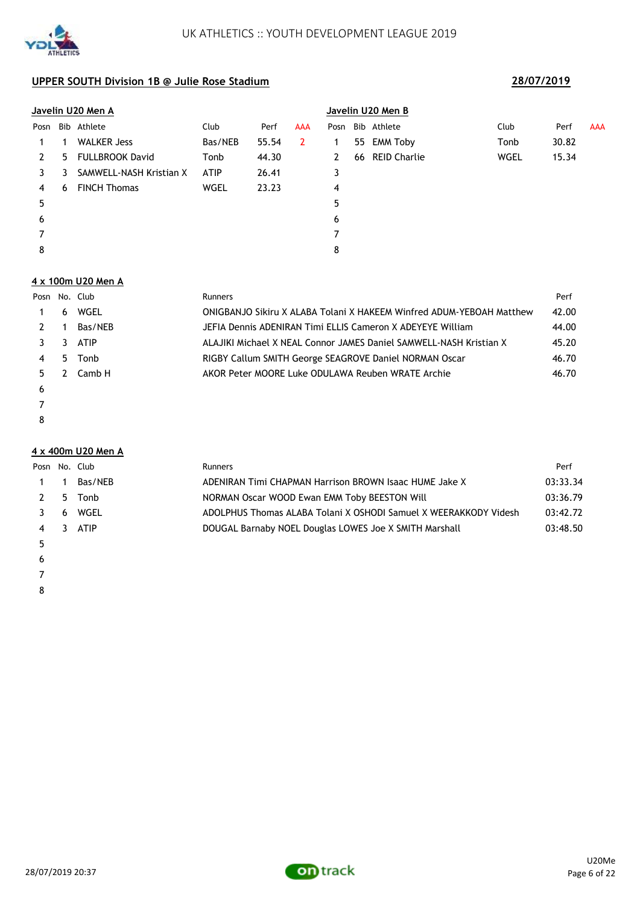

|      |    | Javelin U20 Men A       |             |       |     | Javelin U20 Men B |    |                     |             |       |            |  |
|------|----|-------------------------|-------------|-------|-----|-------------------|----|---------------------|-------------|-------|------------|--|
| Posn |    | Bib Athlete             | Club        | Perf  | AAA | Posn              |    | Bib Athlete         | Club        | Perf  | <b>AAA</b> |  |
|      |    | <b>WALKER Jess</b>      | Bas/NEB     | 55.54 | 2   |                   | 55 | EMM Toby            | Tonb        | 30.82 |            |  |
| 2    | 5. | <b>FULLBROOK David</b>  | Tonb        | 44.30 |     |                   | 66 | <b>REID Charlie</b> | <b>WGEL</b> | 15.34 |            |  |
| 3    | 3  | SAMWELL-NASH Kristian X | <b>ATIP</b> | 26.41 |     | 3                 |    |                     |             |       |            |  |
| 4    | 6  | <b>FINCH Thomas</b>     | WGEL        | 23.23 |     | 4                 |    |                     |             |       |            |  |
| 5    |    |                         |             |       |     | 5                 |    |                     |             |       |            |  |
| 6    |    |                         |             |       |     | 6                 |    |                     |             |       |            |  |
|      |    |                         |             |       |     |                   |    |                     |             |       |            |  |
| 8    |    |                         |             |       |     | 8                 |    |                     |             |       |            |  |

### **4 x 100m U20 Men A**

|    |     | Posn No. Club | Runners                                                              | Perf  |
|----|-----|---------------|----------------------------------------------------------------------|-------|
|    | 6   | WGEL          | ONIGBANJO Sikiru X ALABA Tolani X HAKEEM Winfred ADUM-YEBOAH Matthew | 42.00 |
|    |     | Bas/NEB       | JEFIA Dennis ADENIRAN Timi ELLIS Cameron X ADEYEYE William           | 44.00 |
|    |     | <b>ATIP</b>   | ALAJIKI Michael X NEAL Connor JAMES Daniel SAMWELL-NASH Kristian X   | 45.20 |
|    | 5.  | Tonb          | RIGBY Callum SMITH George SEAGROVE Daniel NORMAN Oscar               | 46.70 |
| 5. | - 2 | Camb H        | AKOR Peter MOORE Luke ODULAWA Reuben WRATE Archie                    | 46.70 |
| 6  |     |               |                                                                      |       |
|    |     |               |                                                                      |       |

YD

**ATHLETICS** 

### **4 x 400m U20 Men A**

|             | Posn No. Club | <b>Runners</b>                                                   | Perf     |
|-------------|---------------|------------------------------------------------------------------|----------|
| $1 \quad 1$ | Bas/NEB       | ADENIRAN Timi CHAPMAN Harrison BROWN Isaac HUME Jake X           | 03:33.34 |
|             | 2 5 Tonb      | NORMAN Oscar WOOD Ewan EMM Toby BEESTON Will                     | 03:36.79 |
|             | 3 6 WGEL      | ADOLPHUS Thomas ALABA Tolani X OSHODI Samuel X WEERAKKODY Videsh | 03:42.72 |
|             | 4 3 ATIP      | DOUGAL Barnaby NOEL Douglas LOWES Joe X SMITH Marshall           | 03:48.50 |
|             |               |                                                                  |          |

- 
- $\epsilon$
- 
- 

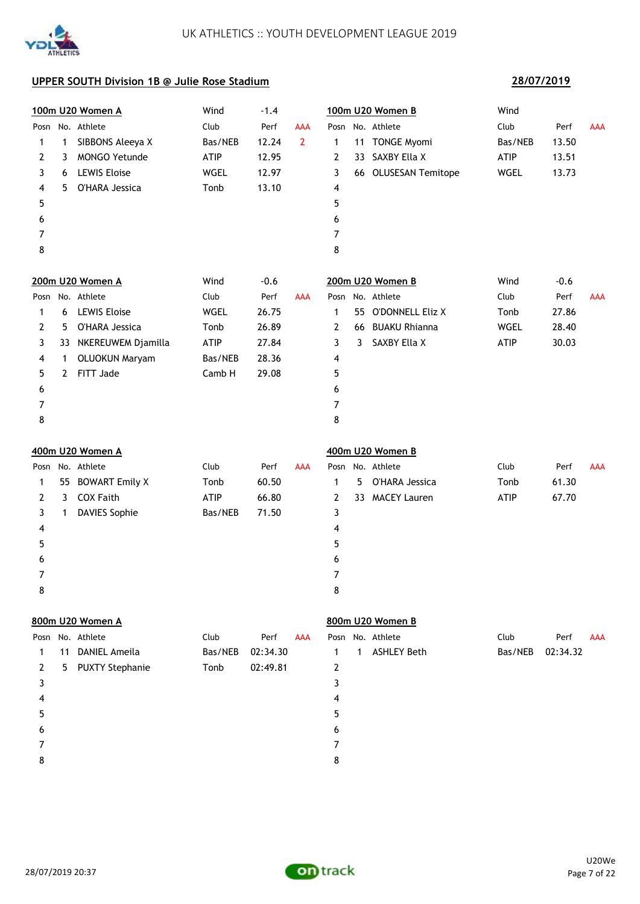

### **28/07/2019**

|      |              | 100m U20 Women A       | Wind        | $-1.4$   |                |                |    | 100m U20 Women B     | Wind        |          |            |
|------|--------------|------------------------|-------------|----------|----------------|----------------|----|----------------------|-------------|----------|------------|
| Posn |              | No. Athlete            | Club        | Perf     | <b>AAA</b>     |                |    | Posn No. Athlete     | Club        | Perf     | <b>AAA</b> |
| 1    | 1            | SIBBONS Aleeya X       | Bas/NEB     | 12.24    | $\overline{2}$ | 1              |    | 11 TONGE Myomi       | Bas/NEB     | 13.50    |            |
| 2    | 3            | <b>MONGO Yetunde</b>   | ATIP        | 12.95    |                | $\overline{2}$ | 33 | SAXBY Ella X         | ATIP        | 13.51    |            |
| 3    | 6            | <b>LEWIS Eloise</b>    | WGEL        | 12.97    |                | 3              |    | 66 OLUSESAN Temitope | WGEL        | 13.73    |            |
| 4    | 5.           | O'HARA Jessica         | Tonb        | 13.10    |                | 4              |    |                      |             |          |            |
| 5    |              |                        |             |          |                | 5              |    |                      |             |          |            |
| 6    |              |                        |             |          |                | 6              |    |                      |             |          |            |
| 7    |              |                        |             |          |                | 7              |    |                      |             |          |            |
| 8    |              |                        |             |          |                | 8              |    |                      |             |          |            |
|      |              | 200m U20 Women A       | Wind        | $-0.6$   |                |                |    | 200m U20 Women B     | Wind        | $-0.6$   |            |
| Posn |              | No. Athlete            | Club        | Perf     | <b>AAA</b>     | Posn           |    | No. Athlete          | Club        | Perf     | AAA        |
| 1    | 6            | <b>LEWIS Eloise</b>    | <b>WGEL</b> | 26.75    |                | $\mathbf{1}$   | 55 | O'DONNELL Eliz X     | Tonb        | 27.86    |            |
| 2    | 5.           | O'HARA Jessica         | Tonb        | 26.89    |                | 2              |    | 66 BUAKU Rhianna     | WGEL        | 28.40    |            |
| 3    | 33           | NKEREUWEM Djamilla     | ATIP        | 27.84    |                | 3              | 3  | SAXBY Ella X         | ATIP        | 30.03    |            |
| 4    | 1            | <b>OLUOKUN Maryam</b>  | Bas/NEB     | 28.36    |                | 4              |    |                      |             |          |            |
| 5    | $\mathbf{2}$ | FITT Jade              | Camb H      | 29.08    |                | 5              |    |                      |             |          |            |
| 6    |              |                        |             |          |                | 6              |    |                      |             |          |            |
| 7    |              |                        |             |          |                | 7              |    |                      |             |          |            |
| 8    |              |                        |             |          |                | 8              |    |                      |             |          |            |
|      |              | 400m U20 Women A       |             |          |                |                |    | 400m U20 Women B     |             |          |            |
| Posn |              | No. Athlete            | Club        | Perf     | <b>AAA</b>     |                |    | Posn No. Athlete     | Club        | Perf     | <b>AAA</b> |
| 1    |              | 55 BOWART Emily X      | Tonb        | 60.50    |                | 1              | 5  | O'HARA Jessica       | Tonb        | 61.30    |            |
| 2    | 3            | <b>COX Faith</b>       | ATIP        | 66.80    |                | $\overline{2}$ | 33 | <b>MACEY Lauren</b>  | <b>ATIP</b> | 67.70    |            |
| 3    | 1            | <b>DAVIES Sophie</b>   | Bas/NEB     | 71.50    |                | 3              |    |                      |             |          |            |
| 4    |              |                        |             |          |                | 4              |    |                      |             |          |            |
| 5    |              |                        |             |          |                | 5              |    |                      |             |          |            |
| 6    |              |                        |             |          |                | 6              |    |                      |             |          |            |
| 7    |              |                        |             |          |                | 7              |    |                      |             |          |            |
| 8    |              |                        |             |          |                | 8              |    |                      |             |          |            |
|      |              | 800m U20 Women A       |             |          |                |                |    | 800m U20 Women B     |             |          |            |
| Posn |              | No. Athlete            | Club        | Perf     | <b>AAA</b>     |                |    | Posn No. Athlete     | Club        | Perf     | <b>AAA</b> |
| 1    | 11           | <b>DANIEL Ameila</b>   | Bas/NEB     | 02:34.30 |                | 1              | 1  | <b>ASHLEY Beth</b>   | Bas/NEB     | 02:34.32 |            |
| 2    | 5.           | <b>PUXTY Stephanie</b> | Tonb        | 02:49.81 |                | 2              |    |                      |             |          |            |
| 3    |              |                        |             |          |                | 3              |    |                      |             |          |            |
| 4    |              |                        |             |          |                | 4              |    |                      |             |          |            |
| 5    |              |                        |             |          |                | 5              |    |                      |             |          |            |
| 6    |              |                        |             |          |                | 6              |    |                      |             |          |            |
| 7    |              |                        |             |          |                | 7              |    |                      |             |          |            |
| 8    |              |                        |             |          |                | 8              |    |                      |             |          |            |

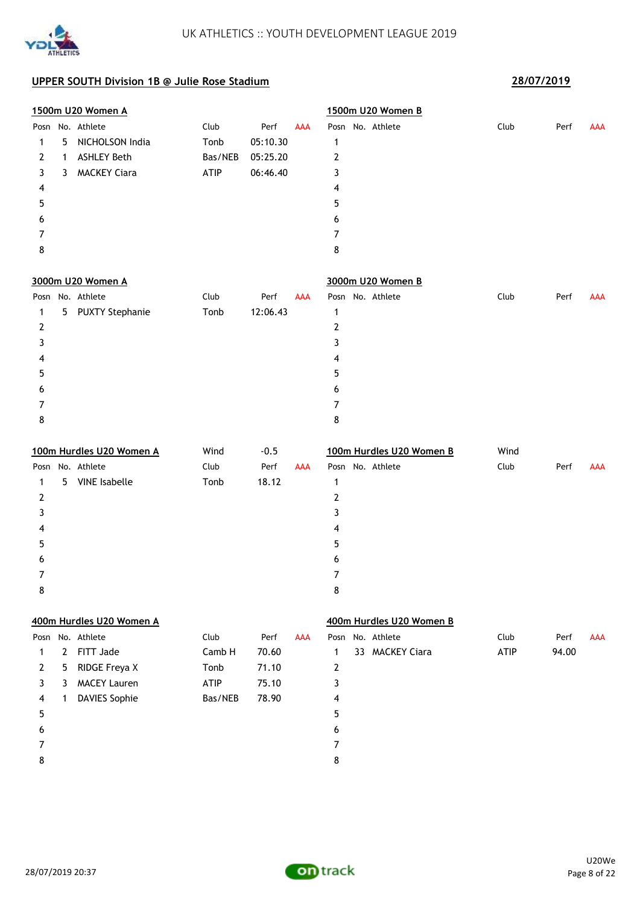

|      |              | 1500m U20 Women A        |         |          |            |                | 1500m U20 Women B        |      |       |            |
|------|--------------|--------------------------|---------|----------|------------|----------------|--------------------------|------|-------|------------|
|      |              | Posn No. Athlete         | Club    | Perf     | <b>AAA</b> |                | Posn No. Athlete         | Club | Perf  | AAA        |
| 1    | 5            | NICHOLSON India          | Tonb    | 05:10.30 |            | 1              |                          |      |       |            |
| 2    | 1            | <b>ASHLEY Beth</b>       | Bas/NEB | 05:25.20 |            | $\overline{2}$ |                          |      |       |            |
| 3    | 3            | <b>MACKEY Ciara</b>      | ATIP    | 06:46.40 |            | 3              |                          |      |       |            |
| 4    |              |                          |         |          |            | 4              |                          |      |       |            |
| 5    |              |                          |         |          |            | 5              |                          |      |       |            |
| 6    |              |                          |         |          |            | 6              |                          |      |       |            |
| 7    |              |                          |         |          |            | 7              |                          |      |       |            |
| 8    |              |                          |         |          |            | 8              |                          |      |       |            |
|      |              | 3000m U20 Women A        |         |          |            |                | 3000m U20 Women B        |      |       |            |
| Posn |              | No. Athlete              | Club    | Perf     | <b>AAA</b> |                | Posn No. Athlete         | Club | Perf  | AAA        |
| 1    | 5            | <b>PUXTY Stephanie</b>   | Tonb    | 12:06.43 |            | 1              |                          |      |       |            |
| 2    |              |                          |         |          |            | $\overline{2}$ |                          |      |       |            |
| 3    |              |                          |         |          |            | 3              |                          |      |       |            |
| 4    |              |                          |         |          |            | 4              |                          |      |       |            |
| 5    |              |                          |         |          |            | 5              |                          |      |       |            |
| 6    |              |                          |         |          |            | 6              |                          |      |       |            |
| 7    |              |                          |         |          |            | 7              |                          |      |       |            |
| 8    |              |                          |         |          |            | 8              |                          |      |       |            |
|      |              | 100m Hurdles U20 Women A | Wind    | $-0.5$   |            |                | 100m Hurdles U20 Women B | Wind |       |            |
| Posn |              | No. Athlete              | Club    | Perf     | <b>AAA</b> |                | Posn No. Athlete         | Club | Perf  | <b>AAA</b> |
| 1    | 5.           | <b>VINE</b> Isabelle     | Tonb    | 18.12    |            | 1              |                          |      |       |            |
| 2    |              |                          |         |          |            | $\overline{2}$ |                          |      |       |            |
| 3    |              |                          |         |          |            | 3              |                          |      |       |            |
| 4    |              |                          |         |          |            | 4              |                          |      |       |            |
| 5    |              |                          |         |          |            | 5              |                          |      |       |            |
| 6    |              |                          |         |          |            | 6              |                          |      |       |            |
| 7    |              |                          |         |          |            | 7              |                          |      |       |            |
| 8    |              |                          |         |          |            | 8              |                          |      |       |            |
|      |              | 400m Hurdles U20 Women A |         |          |            |                | 400m Hurdles U20 Women B |      |       |            |
|      |              | Posn No. Athlete         | Club    | Perf     | AAA        |                | Posn No. Athlete         | Club | Perf  | <b>AAA</b> |
| 1    | $\mathbf{2}$ | FITT Jade                | Camb H  | 70.60    |            | $\mathbf 1$    | 33 MACKEY Ciara          | ATIP | 94.00 |            |
| 2    | 5            | RIDGE Freya X            | Tonb    | 71.10    |            | $\overline{2}$ |                          |      |       |            |
| 3    | 3            | <b>MACEY Lauren</b>      | ATIP    | 75.10    |            | 3              |                          |      |       |            |
| 4    | $\mathbf{1}$ | <b>DAVIES Sophie</b>     | Bas/NEB | 78.90    |            | 4              |                          |      |       |            |
| 5    |              |                          |         |          |            | 5              |                          |      |       |            |
| 6    |              |                          |         |          |            |                |                          |      |       |            |
|      |              |                          |         |          |            | 6              |                          |      |       |            |
| 7    |              |                          |         |          |            | 7              |                          |      |       |            |

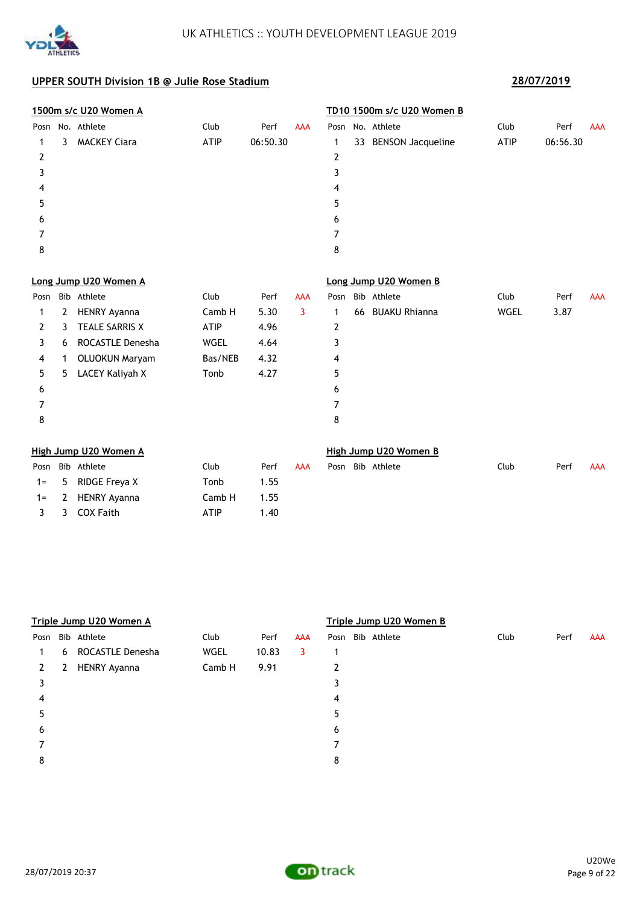

1= 2 HENRY Ayanna Camb H 1.55 3 3 COX Faith ATIP 1.40

|       |    | 1500m s/c U20 Women A |             |          |            |                | TD10 1500m s/c U20 Women B |             |          |            |
|-------|----|-----------------------|-------------|----------|------------|----------------|----------------------------|-------------|----------|------------|
| Posn  |    | No. Athlete           | Club        | Perf     | <b>AAA</b> |                | Posn No. Athlete           | Club        | Perf     | <b>AAA</b> |
| 1     | 3. | <b>MACKEY Ciara</b>   | <b>ATIP</b> | 06:50.30 |            | 1              | 33 BENSON Jacqueline       | <b>ATIP</b> | 06:56.30 |            |
| 2     |    |                       |             |          |            | 2              |                            |             |          |            |
| 3     |    |                       |             |          |            | 3              |                            |             |          |            |
| 4     |    |                       |             |          |            | 4              |                            |             |          |            |
| 5     |    |                       |             |          |            | 5              |                            |             |          |            |
| 6     |    |                       |             |          |            | 6              |                            |             |          |            |
| 7     |    |                       |             |          |            | $\overline{7}$ |                            |             |          |            |
| 8     |    |                       |             |          |            | 8              |                            |             |          |            |
|       |    | Long Jump U20 Women A |             |          |            |                | Long Jump U20 Women B      |             |          |            |
| Posn  |    | Bib Athlete           | Club        | Perf     | <b>AAA</b> | Posn           | Bib Athlete                | Club        | Perf     | <b>AAA</b> |
| 1     | 2  | <b>HENRY Ayanna</b>   | Camb H      | 5.30     | 3          | 1              | 66 BUAKU Rhianna           | WGEL        | 3.87     |            |
| 2     | 3  | <b>TEALE SARRIS X</b> | <b>ATIP</b> | 4.96     |            | $\overline{2}$ |                            |             |          |            |
| 3     | 6  | ROCASTLE Denesha      | <b>WGEL</b> | 4.64     |            | 3              |                            |             |          |            |
| 4     | 1  | <b>OLUOKUN Maryam</b> | Bas/NEB     | 4.32     |            | 4              |                            |             |          |            |
| 5     | 5  | LACEY Kaliyah X       | Tonb        | 4.27     |            | 5              |                            |             |          |            |
| 6     |    |                       |             |          |            | 6              |                            |             |          |            |
| 7     |    |                       |             |          |            | 7              |                            |             |          |            |
| 8     |    |                       |             |          |            | 8              |                            |             |          |            |
|       |    | High Jump U20 Women A |             |          |            |                | High Jump U20 Women B      |             |          |            |
| Posn  |    | Bib Athlete           | Club        | Perf     | <b>AAA</b> | Posn           | Bib Athlete                | Club        | Perf     | <b>AAA</b> |
| $1 =$ | 5. | RIDGE Freya X         | Tonb        | 1.55     |            |                |                            |             |          |            |

|      |   | Triple Jump U20 Women A |        |       |            | Triple Jump U20 Women B |             |      |      |            |  |  |  |
|------|---|-------------------------|--------|-------|------------|-------------------------|-------------|------|------|------------|--|--|--|
| Posn |   | Bib Athlete             | Club   | Perf  | <b>AAA</b> | Posn                    | Bib Athlete | Club | Perf | <b>AAA</b> |  |  |  |
| 1    | 6 | ROCASTLE Denesha        | WGEL   | 10.83 | 3          | 1                       |             |      |      |            |  |  |  |
| 2    | 2 | <b>HENRY Ayanna</b>     | Camb H | 9.91  |            | 2                       |             |      |      |            |  |  |  |
| 3    |   |                         |        |       |            | 3                       |             |      |      |            |  |  |  |
| 4    |   |                         |        |       |            | 4                       |             |      |      |            |  |  |  |
| 5    |   |                         |        |       |            | 5                       |             |      |      |            |  |  |  |
| 6    |   |                         |        |       |            | 6                       |             |      |      |            |  |  |  |
|      |   |                         |        |       |            |                         |             |      |      |            |  |  |  |
| 8    |   |                         |        |       |            | 8                       |             |      |      |            |  |  |  |
|      |   |                         |        |       |            |                         |             |      |      |            |  |  |  |

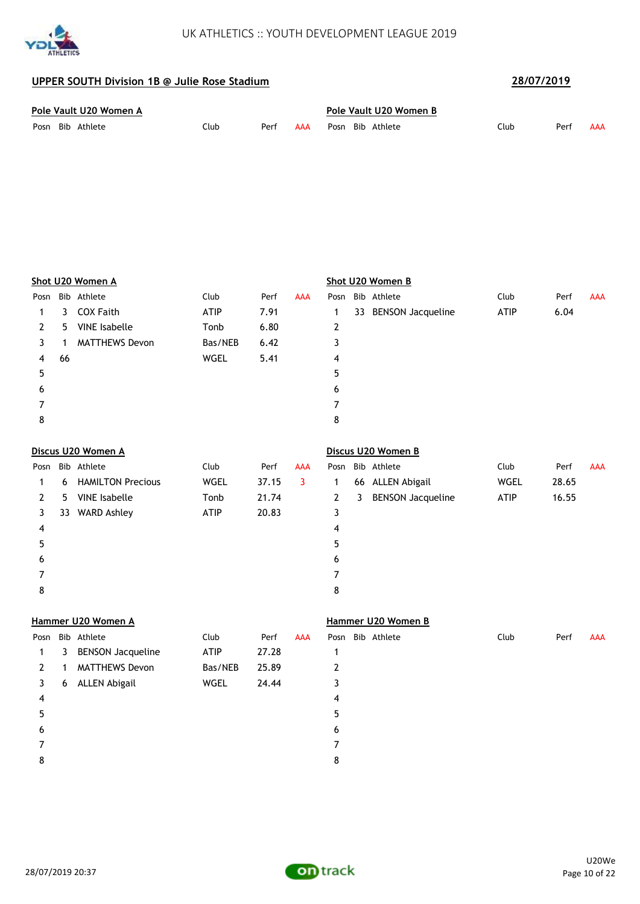

| Pole Vault U20 Women A |      |      |     |  |  | Pole Vault U20 Women B |      |      |     |  |  |  |  |
|------------------------|------|------|-----|--|--|------------------------|------|------|-----|--|--|--|--|
| Posn Bib Athlete       | Club | Perf | AAA |  |  | Posn Bib Athlete       | Club | Perf | AAA |  |  |  |  |

|    |                          | Club                                                                                                                                                          | Perf  | <b>AAA</b> | Posn           |              |                          | Club                                                                                                                                                       | Perf  | <b>AAA</b> |
|----|--------------------------|---------------------------------------------------------------------------------------------------------------------------------------------------------------|-------|------------|----------------|--------------|--------------------------|------------------------------------------------------------------------------------------------------------------------------------------------------------|-------|------------|
| 3  | <b>COX Faith</b>         | ATIP                                                                                                                                                          | 7.91  |            | 1              |              |                          | ATIP                                                                                                                                                       | 6.04  |            |
| 5. | <b>VINE</b> Isabelle     | Tonb                                                                                                                                                          | 6.80  |            | 2              |              |                          |                                                                                                                                                            |       |            |
| 1  | <b>MATTHEWS Devon</b>    | Bas/NEB                                                                                                                                                       | 6.42  |            | 3              |              |                          |                                                                                                                                                            |       |            |
| 66 |                          | WGEL                                                                                                                                                          | 5.41  |            | 4              |              |                          |                                                                                                                                                            |       |            |
|    |                          |                                                                                                                                                               |       |            | 5              |              |                          |                                                                                                                                                            |       |            |
|    |                          |                                                                                                                                                               |       |            | 6              |              |                          |                                                                                                                                                            |       |            |
|    |                          |                                                                                                                                                               |       |            | 7              |              |                          |                                                                                                                                                            |       |            |
|    |                          |                                                                                                                                                               |       |            | 8              |              |                          |                                                                                                                                                            |       |            |
|    |                          |                                                                                                                                                               |       |            |                |              |                          |                                                                                                                                                            |       |            |
|    |                          | Club                                                                                                                                                          | Perf  | <b>AAA</b> | Posn           |              |                          | Club                                                                                                                                                       | Perf  | <b>AAA</b> |
| 6  | <b>HAMILTON Precious</b> | <b>WGEL</b>                                                                                                                                                   | 37.15 | 3          | $\mathbf{1}$   |              |                          | <b>WGEL</b>                                                                                                                                                | 28.65 |            |
| 5. | <b>VINE</b> Isabelle     | Tonb                                                                                                                                                          | 21.74 |            | 2              | $\mathbf{3}$ | <b>BENSON Jacqueline</b> | ATIP                                                                                                                                                       | 16.55 |            |
|    |                          | ATIP                                                                                                                                                          | 20.83 |            | 3              |              |                          |                                                                                                                                                            |       |            |
|    |                          |                                                                                                                                                               |       |            | 4              |              |                          |                                                                                                                                                            |       |            |
|    |                          |                                                                                                                                                               |       |            | 5              |              |                          |                                                                                                                                                            |       |            |
|    |                          |                                                                                                                                                               |       |            | 6              |              |                          |                                                                                                                                                            |       |            |
|    |                          |                                                                                                                                                               |       |            | 7              |              |                          |                                                                                                                                                            |       |            |
|    |                          |                                                                                                                                                               |       |            | 8              |              |                          |                                                                                                                                                            |       |            |
|    |                          |                                                                                                                                                               |       |            |                |              |                          |                                                                                                                                                            |       |            |
|    |                          | Club                                                                                                                                                          | Perf  | <b>AAA</b> |                |              |                          | Club                                                                                                                                                       | Perf  | <b>AAA</b> |
| 3  | <b>BENSON Jacqueline</b> | <b>ATIP</b>                                                                                                                                                   | 27.28 |            | 1              |              |                          |                                                                                                                                                            |       |            |
| 1  | <b>MATTHEWS Devon</b>    | Bas/NEB                                                                                                                                                       | 25.89 |            | 2              |              |                          |                                                                                                                                                            |       |            |
| 6  |                          | WGEL                                                                                                                                                          | 24.44 |            | 3              |              |                          |                                                                                                                                                            |       |            |
|    |                          |                                                                                                                                                               |       |            | 4              |              |                          |                                                                                                                                                            |       |            |
|    |                          |                                                                                                                                                               |       |            | 5              |              |                          |                                                                                                                                                            |       |            |
|    |                          |                                                                                                                                                               |       |            | 6              |              |                          |                                                                                                                                                            |       |            |
|    |                          |                                                                                                                                                               |       |            | $\overline{7}$ |              |                          |                                                                                                                                                            |       |            |
|    |                          | Shot U20 Women A<br>Posn Bib Athlete<br>Discus U20 Women A<br>Bib Athlete<br>33 WARD Ashley<br>Hammer U20 Women A<br>Posn Bib Athlete<br><b>ALLEN Abigail</b> |       |            |                |              |                          | Shot U20 Women B<br>Bib Athlete<br>33 BENSON Jacqueline<br>Discus U20 Women B<br>Bib Athlete<br>66 ALLEN Abigail<br>Hammer U20 Women B<br>Posn Bib Athlete |       |            |

8

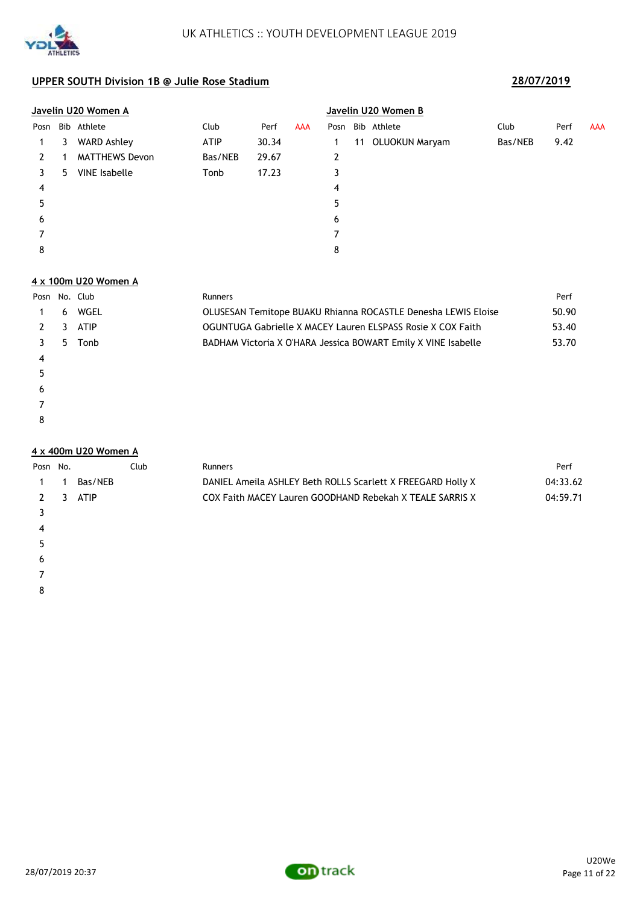

|      | <u>Javelin U20 Women A</u> |                       |             |       |            |      |    | Javelin U20 Women B |         |      |            |  |  |  |  |
|------|----------------------------|-----------------------|-------------|-------|------------|------|----|---------------------|---------|------|------------|--|--|--|--|
| Posn |                            | Bib Athlete           | Club        | Perf  | <b>AAA</b> | Posn |    | Bib Athlete         | Club    | Perf | <b>AAA</b> |  |  |  |  |
|      | 3                          | <b>WARD Ashley</b>    | <b>ATIP</b> | 30.34 |            |      | 11 | OLUOKUN Maryam      | Bas/NEB | 9.42 |            |  |  |  |  |
|      |                            | <b>MATTHEWS Devon</b> | Bas/NEB     | 29.67 |            | 2    |    |                     |         |      |            |  |  |  |  |
| 3.   | 5.                         | <b>VINE</b> Isabelle  | Tonb        | 17.23 |            | 3    |    |                     |         |      |            |  |  |  |  |
| 4    |                            |                       |             |       |            | 4    |    |                     |         |      |            |  |  |  |  |
| 5    |                            |                       |             |       |            | 5    |    |                     |         |      |            |  |  |  |  |
| 6    |                            |                       |             |       |            | 6    |    |                     |         |      |            |  |  |  |  |
|      |                            |                       |             |       |            |      |    |                     |         |      |            |  |  |  |  |
| 8    |                            |                       |             |       |            | 8    |    |                     |         |      |            |  |  |  |  |

### **4 x 100m U20 Women A**

| Posn No. Club |   |             | <b>Runners</b>                                                | Perf  |
|---------------|---|-------------|---------------------------------------------------------------|-------|
|               | 6 | WGEL        | OLUSESAN Temitope BUAKU Rhianna ROCASTLE Denesha LEWIS Eloise | 50.90 |
|               | 3 | <b>ATIP</b> | OGUNTUGA Gabrielle X MACEY Lauren ELSPASS Rosie X COX Faith   | 53.40 |
|               | 5 | Tonb        | BADHAM Victoria X O'HARA Jessica BOWART Emily X VINE Isabelle | 53.70 |
| 4             |   |             |                                                               |       |
| 5             |   |             |                                                               |       |
| 6             |   |             |                                                               |       |
|               |   |             |                                                               |       |
| 8             |   |             |                                                               |       |

### **4 x 400m U20 Women A**

 $\epsilon$  

| Posn No.  |                         |         | Club | <b>Runners</b>                                              | Perf     |
|-----------|-------------------------|---------|------|-------------------------------------------------------------|----------|
| $1 \quad$ |                         | Bas/NEB |      | DANIEL Ameria ASHLEY Beth ROLLS Scarlett X FREEGARD Holly X | 04:33.62 |
| 2         | $\overline{\mathbf{3}}$ | ATIP    |      | COX Faith MACEY Lauren GOODHAND Rebekah X TEALE SARRIS X    | 04:59.71 |
|           |                         |         |      |                                                             |          |
| 4         |                         |         |      |                                                             |          |
|           |                         |         |      |                                                             |          |

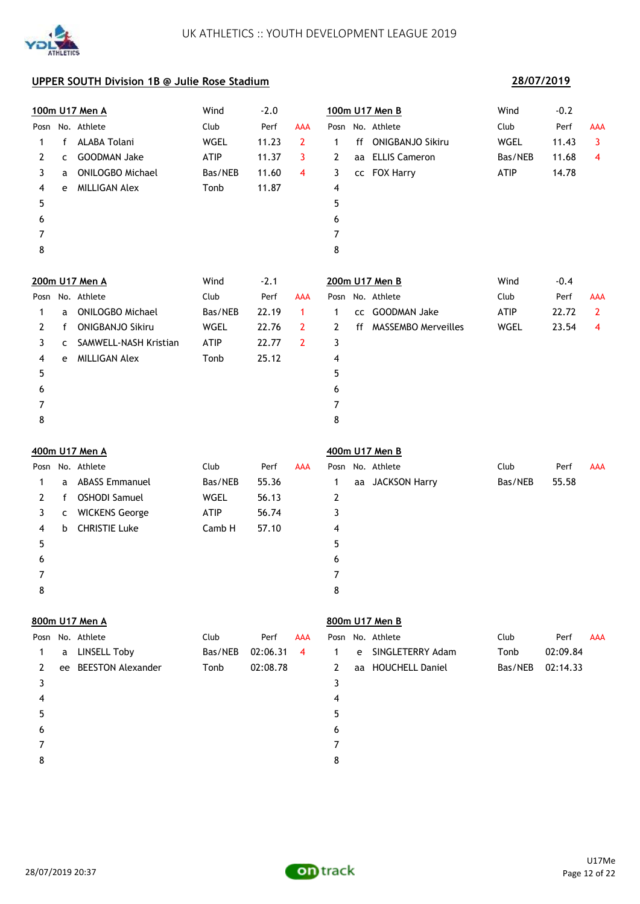

## **28/07/2019**

|      |   | 100m U17 Men A          | Wind        | $-2.0$   |                |                |    | 100m U17 Men B          | Wind        | $-0.2$   |                         |
|------|---|-------------------------|-------------|----------|----------------|----------------|----|-------------------------|-------------|----------|-------------------------|
| Posn |   | No. Athlete             | Club        | Perf     | <b>AAA</b>     |                |    | Posn No. Athlete        | Club        | Perf     | AAA                     |
| 1    | f | ALABA Tolani            | WGEL        | 11.23    | $\overline{2}$ | 1              | ff | <b>ONIGBANJO Sikiru</b> | WGEL        | 11.43    | $\overline{\mathbf{3}}$ |
| 2    | c | <b>GOODMAN Jake</b>     | <b>ATIP</b> | 11.37    | 3              | 2              |    | aa ELLIS Cameron        | Bas/NEB     | 11.68    | 4                       |
| 3    | a | <b>ONILOGBO Michael</b> | Bas/NEB     | 11.60    | 4              | 3              |    | cc FOX Harry            | <b>ATIP</b> | 14.78    |                         |
| 4    | e | <b>MILLIGAN Alex</b>    | Tonb        | 11.87    |                | 4              |    |                         |             |          |                         |
| 5    |   |                         |             |          |                | 5              |    |                         |             |          |                         |
| 6    |   |                         |             |          |                | 6              |    |                         |             |          |                         |
| 7    |   |                         |             |          |                | 7              |    |                         |             |          |                         |
| 8    |   |                         |             |          |                | 8              |    |                         |             |          |                         |
|      |   | 200m U17 Men A          | Wind        | $-2.1$   |                |                |    | 200m U17 Men B          | Wind        | $-0.4$   |                         |
| Posn |   | No. Athlete             | Club        | Perf     | <b>AAA</b>     |                |    | Posn No. Athlete        | Club        | Perf     | <b>AAA</b>              |
| 1    | a | <b>ONILOGBO Michael</b> | Bas/NEB     | 22.19    | $\mathbf{1}$   | 1              |    | cc GOODMAN Jake         | <b>ATIP</b> | 22.72    | $\mathbf{2}$            |
| 2    | f | <b>ONIGBANJO Sikiru</b> | WGEL        | 22.76    | $\overline{2}$ | 2              |    | ff MASSEMBO Merveilles  | WGEL        | 23.54    | 4                       |
| 3    | C | SAMWELL-NASH Kristian   | ATIP        | 22.77    | $\overline{2}$ | 3              |    |                         |             |          |                         |
| 4    | e | <b>MILLIGAN Alex</b>    | Tonb        | 25.12    |                | 4              |    |                         |             |          |                         |
| 5    |   |                         |             |          |                | 5              |    |                         |             |          |                         |
| 6    |   |                         |             |          |                | 6              |    |                         |             |          |                         |
| 7    |   |                         |             |          |                | $\overline{7}$ |    |                         |             |          |                         |
| 8    |   |                         |             |          |                | 8              |    |                         |             |          |                         |
|      |   | 400m U17 Men A          |             |          |                |                |    | 400m U17 Men B          |             |          |                         |
| Posn |   | No. Athlete             | Club        | Perf     | <b>AAA</b>     | Posn           |    | No. Athlete             | Club        | Perf     | <b>AAA</b>              |
| 1    | a | <b>ABASS Emmanuel</b>   | Bas/NEB     | 55.36    |                | 1              |    | aa JACKSON Harry        | Bas/NEB     | 55.58    |                         |
| 2    | f | <b>OSHODI Samuel</b>    | WGEL        | 56.13    |                | 2              |    |                         |             |          |                         |
| 3    | c | <b>WICKENS George</b>   | ATIP        | 56.74    |                | 3              |    |                         |             |          |                         |
| 4    | b | <b>CHRISTIE Luke</b>    | Camb H      | 57.10    |                | 4              |    |                         |             |          |                         |
| 5    |   |                         |             |          |                | 5              |    |                         |             |          |                         |
| 6    |   |                         |             |          |                | 6              |    |                         |             |          |                         |
| 7    |   |                         |             |          |                | 7              |    |                         |             |          |                         |
| 8    |   |                         |             |          |                | 8              |    |                         |             |          |                         |
|      |   | 800m U17 Men A          |             |          |                |                |    | 800m U17 Men B          |             |          |                         |
| Posn |   | No. Athlete             | Club        | Perf     | <b>AAA</b>     |                |    | Posn No. Athlete        | Club        | Perf     | <b>AAA</b>              |
| 1    | a | <b>LINSELL Toby</b>     | Bas/NEB     | 02:06.31 | 4              | 1              | e  | SINGLETERRY Adam        | Tonb        | 02:09.84 |                         |
| 2    |   | ee BEESTON Alexander    | Tonb        | 02:08.78 |                | 2              |    | aa HOUCHELL Daniel      | Bas/NEB     | 02:14.33 |                         |
| 3    |   |                         |             |          |                | 3              |    |                         |             |          |                         |
| 4    |   |                         |             |          |                | 4              |    |                         |             |          |                         |
| 5    |   |                         |             |          |                | 5              |    |                         |             |          |                         |
| 6    |   |                         |             |          |                | 6              |    |                         |             |          |                         |
| 7    |   |                         |             |          |                | 7              |    |                         |             |          |                         |
| 8    |   |                         |             |          |                | 8              |    |                         |             |          |                         |

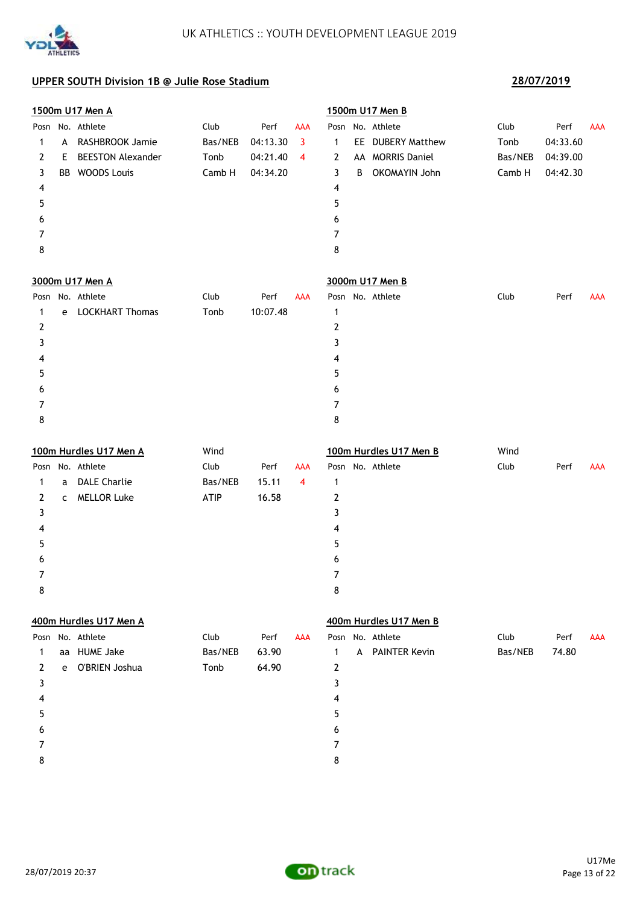

|   |    | 1500m U17 Men A          |         |          |            |   |   | 1500m U17 Men B        |         |          |            |
|---|----|--------------------------|---------|----------|------------|---|---|------------------------|---------|----------|------------|
|   |    | Posn No. Athlete         | Club    | Perf     | <b>AAA</b> |   |   | Posn No. Athlete       | Club    | Perf     | AAA        |
| 1 | A  | RASHBROOK Jamie          | Bas/NEB | 04:13.30 | 3          | 1 |   | EE DUBERY Matthew      | Tonb    | 04:33.60 |            |
| 2 | E. | <b>BEESTON Alexander</b> | Tonb    | 04:21.40 | 4          | 2 |   | AA MORRIS Daniel       | Bas/NEB | 04:39.00 |            |
| 3 |    | BB WOODS Louis           | Camb H  | 04:34.20 |            | 3 | B | OKOMAYIN John          | Camb H  | 04:42.30 |            |
| 4 |    |                          |         |          |            | 4 |   |                        |         |          |            |
| 5 |    |                          |         |          |            | 5 |   |                        |         |          |            |
| 6 |    |                          |         |          |            | 6 |   |                        |         |          |            |
| 7 |    |                          |         |          |            | 7 |   |                        |         |          |            |
| 8 |    |                          |         |          |            | 8 |   |                        |         |          |            |
|   |    | 3000m U17 Men A          |         |          |            |   |   | 3000m U17 Men B        |         |          |            |
|   |    | Posn No. Athlete         | Club    | Perf     | <b>AAA</b> |   |   | Posn No. Athlete       | Club    | Perf     | <b>AAA</b> |
| 1 | e  | <b>LOCKHART Thomas</b>   | Tonb    | 10:07.48 |            | 1 |   |                        |         |          |            |
| 2 |    |                          |         |          |            | 2 |   |                        |         |          |            |
| 3 |    |                          |         |          |            | 3 |   |                        |         |          |            |
| 4 |    |                          |         |          |            | 4 |   |                        |         |          |            |
| 5 |    |                          |         |          |            | 5 |   |                        |         |          |            |
| 6 |    |                          |         |          |            | 6 |   |                        |         |          |            |
| 7 |    |                          |         |          |            | 7 |   |                        |         |          |            |
| 8 |    |                          |         |          |            | 8 |   |                        |         |          |            |
|   |    | 100m Hurdles U17 Men A   | Wind    |          |            |   |   | 100m Hurdles U17 Men B | Wind    |          |            |
|   |    | Posn No. Athlete         | Club    | Perf     | AAA        |   |   | Posn No. Athlete       | Club    | Perf     | <b>AAA</b> |
| 1 | a  | <b>DALE Charlie</b>      | Bas/NEB | 15.11    | 4          | 1 |   |                        |         |          |            |
| 2 | C  | <b>MELLOR Luke</b>       | ATIP    | 16.58    |            | 2 |   |                        |         |          |            |
| 3 |    |                          |         |          |            | 3 |   |                        |         |          |            |
| 4 |    |                          |         |          |            | 4 |   |                        |         |          |            |
| 5 |    |                          |         |          |            | 5 |   |                        |         |          |            |
| 6 |    |                          |         |          |            | 6 |   |                        |         |          |            |
| 7 |    |                          |         |          |            | 7 |   |                        |         |          |            |
| 8 |    |                          |         |          |            | 8 |   |                        |         |          |            |
|   |    | 400m Hurdles U17 Men A   |         |          |            |   |   | 400m Hurdles U17 Men B |         |          |            |
|   |    | Posn No. Athlete         | Club    | Perf     | AAA        |   |   | Posn No. Athlete       | Club    | Perf     | <b>AAA</b> |
| 1 |    | aa HUME Jake             | Bas/NEB | 63.90    |            | 1 |   | A PAINTER Kevin        | Bas/NEB | 74.80    |            |
| 2 | e  | O'BRIEN Joshua           | Tonb    | 64.90    |            | 2 |   |                        |         |          |            |
| 3 |    |                          |         |          |            | 3 |   |                        |         |          |            |
| 4 |    |                          |         |          |            | 4 |   |                        |         |          |            |
| 5 |    |                          |         |          |            | 5 |   |                        |         |          |            |
| 6 |    |                          |         |          |            | 6 |   |                        |         |          |            |
| 7 |    |                          |         |          |            | 7 |   |                        |         |          |            |
| 8 |    |                          |         |          |            | 8 |   |                        |         |          |            |

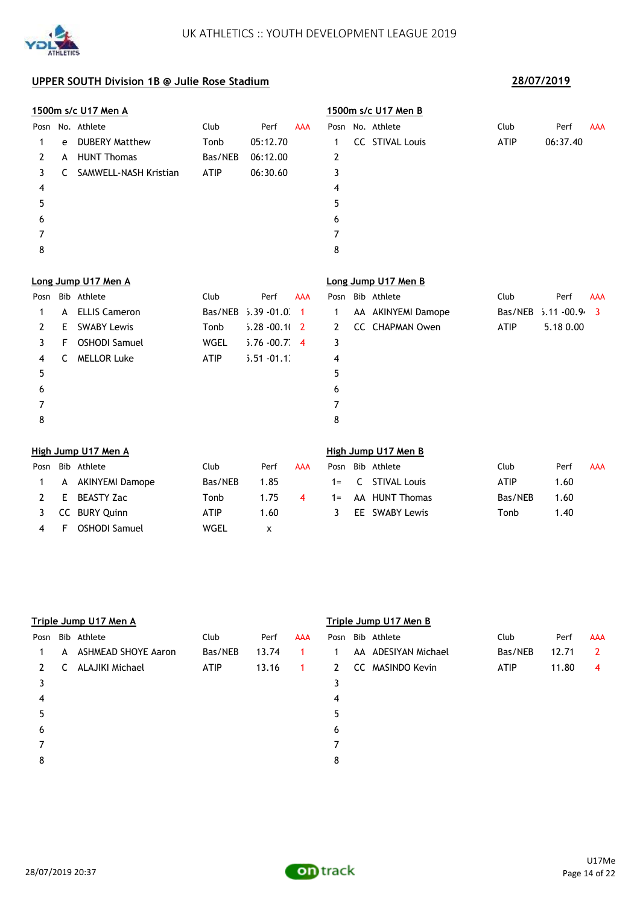

|      |    | 1500m s/c U17 Men A   |             |                  |                |                |              | 1500m s/c U17 Men B    |             |                |                         |
|------|----|-----------------------|-------------|------------------|----------------|----------------|--------------|------------------------|-------------|----------------|-------------------------|
| Posn |    | No. Athlete           | Club        | Perf             | <b>AAA</b>     |                |              | Posn No. Athlete       | Club        | Perf           | <b>AAA</b>              |
| 1    | e  | <b>DUBERY Matthew</b> | Tonb        | 05:12.70         |                | 1              |              | <b>CC STIVAL Louis</b> | <b>ATIP</b> | 06:37.40       |                         |
| 2    | A  | <b>HUNT Thomas</b>    | Bas/NEB     | 06:12.00         |                | 2              |              |                        |             |                |                         |
| 3    | C. | SAMWELL-NASH Kristian | <b>ATIP</b> | 06:30.60         |                | 3              |              |                        |             |                |                         |
| 4    |    |                       |             |                  |                | 4              |              |                        |             |                |                         |
| 5    |    |                       |             |                  |                | 5              |              |                        |             |                |                         |
| 6    |    |                       |             |                  |                | 6              |              |                        |             |                |                         |
| 7    |    |                       |             |                  |                | 7              |              |                        |             |                |                         |
| 8    |    |                       |             |                  |                | 8              |              |                        |             |                |                         |
|      |    | Long Jump U17 Men A   |             |                  |                |                |              | Long Jump U17 Men B    |             |                |                         |
| Posn |    | Bib Athlete           | Club        | Perf             | <b>AAA</b>     | Posn           |              | Bib Athlete            | Club        | Perf           | <b>AAA</b>              |
| 1    | A  | <b>ELLIS Cameron</b>  | Bas/NEB     | $5.39 - 01.0$    | $\overline{1}$ | 1              |              | AA AKINYEMI Damope     | Bas/NEB     | $5.11 - 00.94$ | $\overline{\mathbf{3}}$ |
| 2    | E  | <b>SWABY Lewis</b>    | Tonb        | $5.28 - 00.10$ 2 |                | $\overline{2}$ |              | CC CHAPMAN Owen        | <b>ATIP</b> | 5.18 0.00      |                         |
| 3    | F  | <b>OSHODI Samuel</b>  | <b>WGEL</b> | $5.76 - 00.7$ 4  |                | 3              |              |                        |             |                |                         |
| 4    | C  | <b>MELLOR Luke</b>    | ATIP        | $5.51 - 01.1$    |                | 4              |              |                        |             |                |                         |
| 5    |    |                       |             |                  |                | 5              |              |                        |             |                |                         |
| 6    |    |                       |             |                  |                | 6              |              |                        |             |                |                         |
| 7    |    |                       |             |                  |                | $\overline{7}$ |              |                        |             |                |                         |
| 8    |    |                       |             |                  |                | 8              |              |                        |             |                |                         |
|      |    | High Jump U17 Men A   |             |                  |                |                |              | High Jump U17 Men B    |             |                |                         |
| Posn |    | Bib Athlete           | Club        | Perf             | <b>AAA</b>     | Posn           |              | Bib Athlete            | Club        | Perf           | <b>AAA</b>              |
| 1    |    | A AKINYEMI Damope     | Bas/NEB     | 1.85             |                | $1 =$          | $\mathsf{C}$ | <b>STIVAL Louis</b>    | <b>ATIP</b> | 1.60           |                         |

|     | A AKINYEMI Damope | Bas/NEB | 1.85        |    | 1= C STIVAL Louis | <b>ATIP</b> | 1.60 |
|-----|-------------------|---------|-------------|----|-------------------|-------------|------|
| 2 E | BEASTY Zac        | Tonb    | $1.75 \t 4$ |    | 1= AA HUNT Thomas | Bas/NEB     | 1.60 |
|     | 3 CC BURY Quinn   | ATIP    | 1.60        | -3 | EE SWABY Lewis    | Tonb        | 1.40 |
| 4 F | OSHODI Samuel     | WGEL    |             |    |                   |             |      |

| h Jump U17 Men B |                  |             |      |    |  |  |  |  |  |  |
|------------------|------------------|-------------|------|----|--|--|--|--|--|--|
|                  | n Bib Athlete    | Club        | Perf | A. |  |  |  |  |  |  |
|                  | - C STIVAL Louis | <b>ATIP</b> | 1.60 |    |  |  |  |  |  |  |
|                  | AA HUNT Thomas   | Bas/NEB     | 1.60 |    |  |  |  |  |  |  |
|                  | EE SWABY Lewis   | Tonb        | 1.40 |    |  |  |  |  |  |  |

|      |   | Triple Jump U17 Men A |             |       |            | Triple Jump U17 Men B |                      |             |       |                |  |
|------|---|-----------------------|-------------|-------|------------|-----------------------|----------------------|-------------|-------|----------------|--|
| Posn |   | Bib Athlete           | Club        | Perf  | <b>AAA</b> | Posn                  | Bib Athlete          | Club        | Perf  | <b>AAA</b>     |  |
|      | A | ASHMEAD SHOYE Aaron   | Bas/NEB     | 13.74 |            |                       | AA ADESIYAN Michael  | Bas/NEB     | 12.71 | $\mathbf{2}$   |  |
| 2    |   | ALAJIKI Michael       | <b>ATIP</b> | 13.16 | 1.         | 2                     | MASINDO Kevin<br>CC. | <b>ATIP</b> | 11.80 | $\overline{4}$ |  |
| 3    |   |                       |             |       |            | 3                     |                      |             |       |                |  |
| 4    |   |                       |             |       |            | 4                     |                      |             |       |                |  |
| 5    |   |                       |             |       |            | 5                     |                      |             |       |                |  |
| 6    |   |                       |             |       |            | 6                     |                      |             |       |                |  |
|      |   |                       |             |       |            |                       |                      |             |       |                |  |
| 8    |   |                       |             |       |            | 8                     |                      |             |       |                |  |

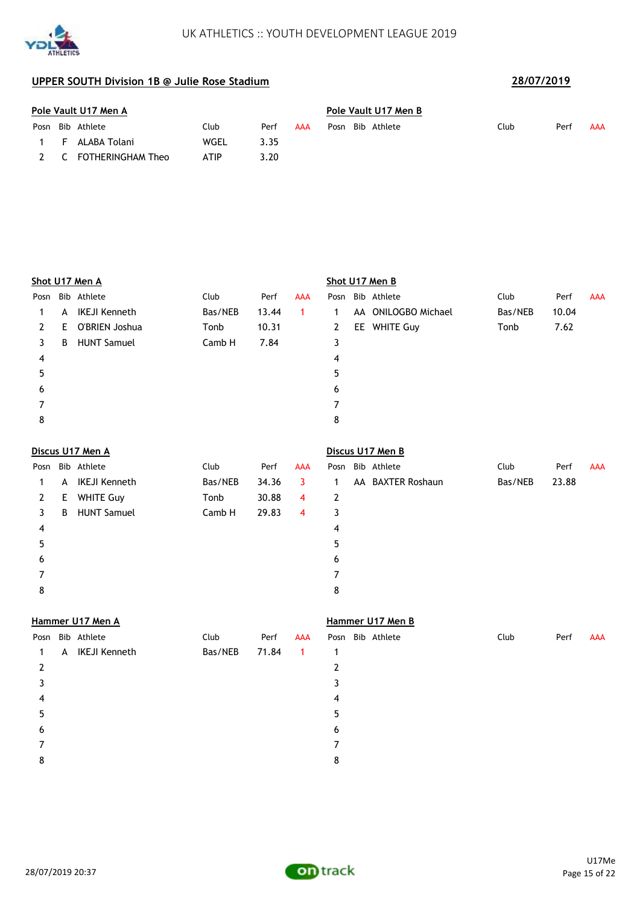



| Pole Vault U17 Men A |                       |      |      |     |  |  | Pole Vault U17 Men B |      |      |     |  |  |  |
|----------------------|-----------------------|------|------|-----|--|--|----------------------|------|------|-----|--|--|--|
|                      | Posn Bib Athlete      | Club | Perf | AAA |  |  | Posn Bib Athlete     | Club | Perf | AAA |  |  |  |
| - F -                | ALABA Tolani          | WGEL | 3.35 |     |  |  |                      |      |      |     |  |  |  |
|                      | 2 C FOTHERINGHAM Theo | ATIP | 3.20 |     |  |  |                      |      |      |     |  |  |  |

|      |    | Shot U17 Men A     |         |       |            | Shot U17 Men B |  |                     |         |       |            |  |
|------|----|--------------------|---------|-------|------------|----------------|--|---------------------|---------|-------|------------|--|
| Posn |    | Bib Athlete        | Club    | Perf  | <b>AAA</b> |                |  | Posn Bib Athlete    | Club    | Perf  | <b>AAA</b> |  |
|      |    | A IKEJI Kenneth    | Bas/NEB | 13.44 | 1          | 1              |  | AA ONILOGBO Michael | Bas/NEB | 10.04 |            |  |
| 2    | E. | O'BRIEN Joshua     | Tonb    | 10.31 |            | $2^{\circ}$    |  | EE WHITE Guy        | Tonb    | 7.62  |            |  |
| 3    | B  | <b>HUNT Samuel</b> | Camb H  | 7.84  |            | 3              |  |                     |         |       |            |  |
| 4    |    |                    |         |       |            | 4              |  |                     |         |       |            |  |
| 5    |    |                    |         |       |            | 5.             |  |                     |         |       |            |  |
| 6    |    |                    |         |       |            | 6              |  |                     |         |       |            |  |
|      |    |                    |         |       |            |                |  |                     |         |       |            |  |
| 8    |    |                    |         |       |            | 8              |  |                     |         |       |            |  |
|      |    |                    |         |       |            |                |  |                     |         |       |            |  |

|             |    | Discus U17 Men A   |         |       |            | Discus U17 Men B |  |                   |         |       |            |  |
|-------------|----|--------------------|---------|-------|------------|------------------|--|-------------------|---------|-------|------------|--|
|             |    | Posn Bib Athlete   | Club    | Perf  | <b>AAA</b> | Posn             |  | Bib Athlete       | Club    | Perf  | <b>AAA</b> |  |
|             | A  | IKEJI Kenneth      | Bas/NEB | 34.36 | 3          |                  |  | AA BAXTER Roshaun | Bas/NEB | 23.88 |            |  |
| $2^{\circ}$ | Е. | <b>WHITE Guy</b>   | Tonb    | 30.88 | 4          | 2                |  |                   |         |       |            |  |
| 3.          | B  | <b>HUNT Samuel</b> | Camb H  | 29.83 | 4          | 3                |  |                   |         |       |            |  |
| 4           |    |                    |         |       |            | 4                |  |                   |         |       |            |  |
| 5           |    |                    |         |       |            | 5                |  |                   |         |       |            |  |
| 6           |    |                    |         |       |            | 6                |  |                   |         |       |            |  |
|             |    |                    |         |       |            |                  |  |                   |         |       |            |  |
| 8           |    |                    |         |       |            | 8                |  |                   |         |       |            |  |

# **Hammer U17 Men A Hammer U17 Men B** Posn Bib Athlete **AAA Club** Perf AAA Posn Bib Athlete **Club** Perf AAA 1 A IKEJI Kenneth Bas/NEB 71.84 1 1 2 2  $3<sup>3</sup>$  $4 \overline{4}$  $5$  $6$ 7 7 8 8

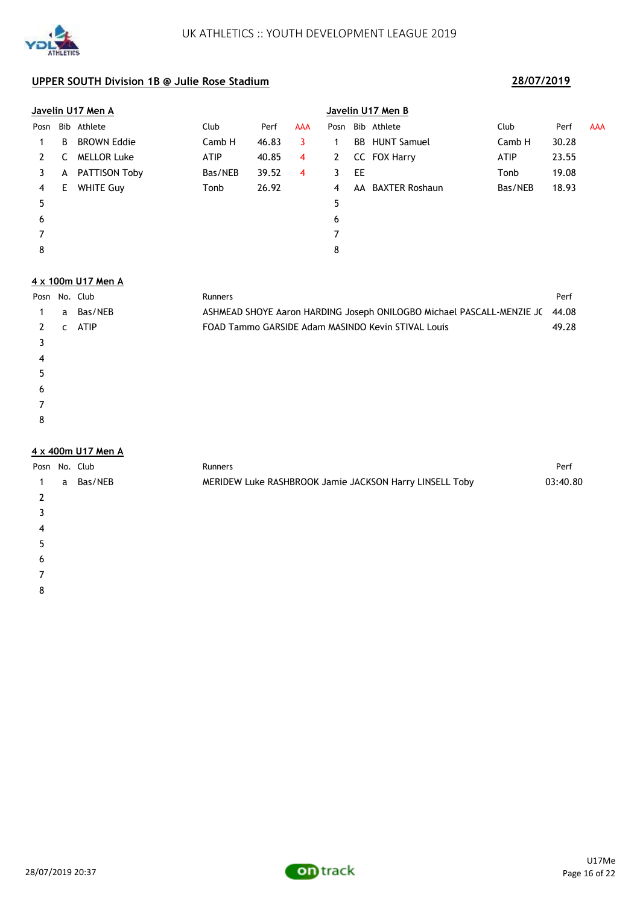

|      |    | Javelin U17 Men A  |             |       |     | Javelin U17 Men B |    |                       |             |       |            |  |
|------|----|--------------------|-------------|-------|-----|-------------------|----|-----------------------|-------------|-------|------------|--|
| Posn |    | Bib Athlete        | Club        | Perf  | AAA | Posn              |    | Bib Athlete           | Club        | Perf  | <b>AAA</b> |  |
|      | B  | <b>BROWN Eddie</b> | Camb H      | 46.83 | 3   |                   |    | <b>BB</b> HUNT Samuel | Camb H      | 30.28 |            |  |
| 2    |    | <b>MELLOR Luke</b> | <b>ATIP</b> | 40.85 | 4   | 2                 |    | CC FOX Harry          | <b>ATIP</b> | 23.55 |            |  |
| 3    | A  | PATTISON Toby      | Bas/NEB     | 39.52 | 4   | 3                 | EE |                       | Tonb        | 19.08 |            |  |
| 4    | E. | <b>WHITE Guy</b>   | Tonb        | 26.92 |     | 4                 |    | AA BAXTER Roshaun     | Bas/NEB     | 18.93 |            |  |
| 5    |    |                    |             |       |     | 5                 |    |                       |             |       |            |  |
| 6    |    |                    |             |       |     | 6                 |    |                       |             |       |            |  |
|      |    |                    |             |       |     | 7                 |    |                       |             |       |            |  |
| 8    |    |                    |             |       |     | 8                 |    |                       |             |       |            |  |

### **4 x 100m U17 Men A**

**ATHLETICS** 

| Posn No. Club |   |             | <b>Runners</b>                                                              | Perf  |
|---------------|---|-------------|-----------------------------------------------------------------------------|-------|
|               | a | Bas/NEB     | ASHMEAD SHOYE Aaron HARDING Joseph ONILOGBO Michael PASCALL-MENZIE JC 44.08 |       |
|               | C | <b>ATIP</b> | FOAD Tammo GARSIDE Adam MASINDO Kevin STIVAL Louis                          | 49.28 |
|               |   |             |                                                                             |       |
| 4             |   |             |                                                                             |       |
| 5             |   |             |                                                                             |       |
| 6             |   |             |                                                                             |       |
|               |   |             |                                                                             |       |
| 8             |   |             |                                                                             |       |

### **4 x 400m U17 Men A**

| Posn No. Club |   |         | Runners                                                 | Perf     |
|---------------|---|---------|---------------------------------------------------------|----------|
|               | a | Bas/NEB | MERIDEW Luke RASHBROOK Jamie JACKSON Harry LINSELL Toby | 03:40.80 |
|               |   |         |                                                         |          |
|               |   |         |                                                         |          |
| 4             |   |         |                                                         |          |
| 5             |   |         |                                                         |          |
| 6             |   |         |                                                         |          |
|               |   |         |                                                         |          |
| 8             |   |         |                                                         |          |

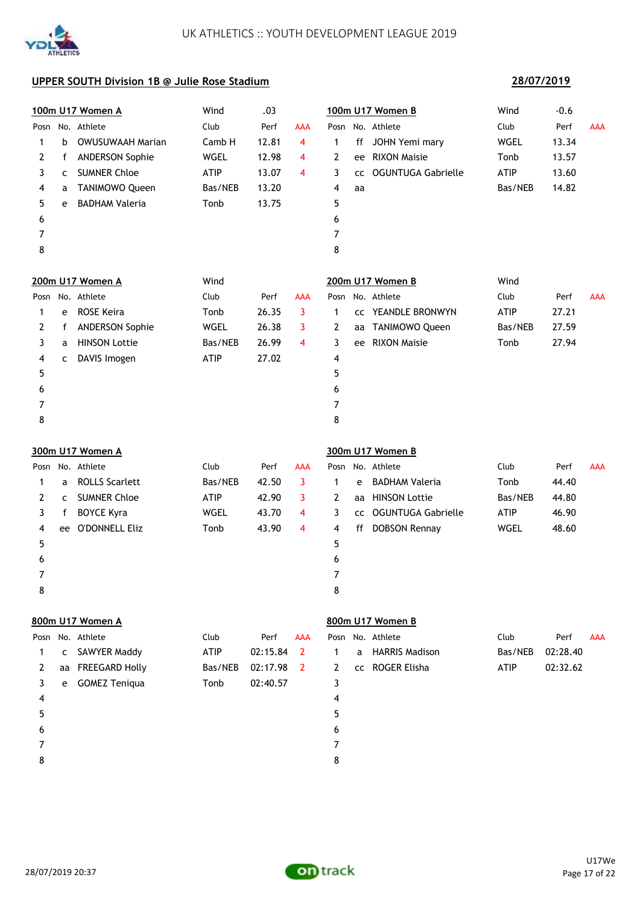

# **100m U17 Women A** Wind .03 **100m U17 Women B** Wind -0.6 Posn No. Athlete Club Perf AAA Posn No. Athlete Club Perf AAA 1 b OWUSUWAAH Marian Camb H 12.81 4 1 ff JOHN Yemi mary WGEL 13.34 2 f ANDERSON Sophie MGEL 12.98 4 2 ee RIXON Maisie Tonb 13.57 3 c SUMNER Chloe ATIP 13.07 4 3 cc OGUNTUGA Gabrielle ATIP 13.60 4 a TANIMOWO Queen Bas/NEB 13.20 4 aa Bas/NEB 14.82 5 e BADHAM Valeria **Tonb** 13.75 5  $6$ 7 7 8 8 **200m U17 Women A** Wind **200m U17 Women B** Wind Posn No. Athlete Club Perf AAA Posn No. Athlete Club Perf AAA 1 e ROSE Keira Tonb 26.35 3 1 cc YEANDLE BRONWYN ATIP 27.21 2 f ANDERSON Sophie WGEL 26.38 3 2 aa TANIMOWO Queen Bas/NEB 27.59 3 a HINSON Lottie Bas/NEB 26.99 4 3 ee RIXON Maisie Tonb 27.94 4 c DAVIS Imogen ATIP 27.02 4  $5$  $6$ 7 7 8 8 **300m U17 Women A 300m U17 Women B** Posn No. Athlete Club Perf AAA Posn No. Athlete Club Perf AAA 1 a ROLLS Scarlett Bas/NEB 42.50 3 1 e BADHAM Valeria Tonb 44.40 2 c SUMNER Chloe 644.80 ATIP 42.90 3 2 aa HINSON Lottie 65 Bas/NEB 44.80 3 f BOYCE Kyra WGEL 43.70 4 3 cc OGUNTUGA Gabrielle ATIP 46.90 4 ee O'DONNELL Eliz Tonb 43.90 4 4 ff DOBSON Rennay WGEL 48.60  $5$  $6$ 7 7 8 8 **800m U17 Women A 800m U17 Women B** Posn No. Athlete Club Perf AAA Posn No. Athlete Club Perf AAA 1 c SAWYER Maddy ATIP 02:15.84 2 1 a HARRIS Madison Bas/NEB 02:28.40 2 aa FREEGARD Holly Bas/NEB 02:17.98 2 2 cc ROGER Elisha ATIP 02:32.62 3 e GOMEZ Teniqua Tonb 02:40.57 3

**28/07/2019**

 $4 \overline{4}$  $5$  $6$ 7 7 8 8

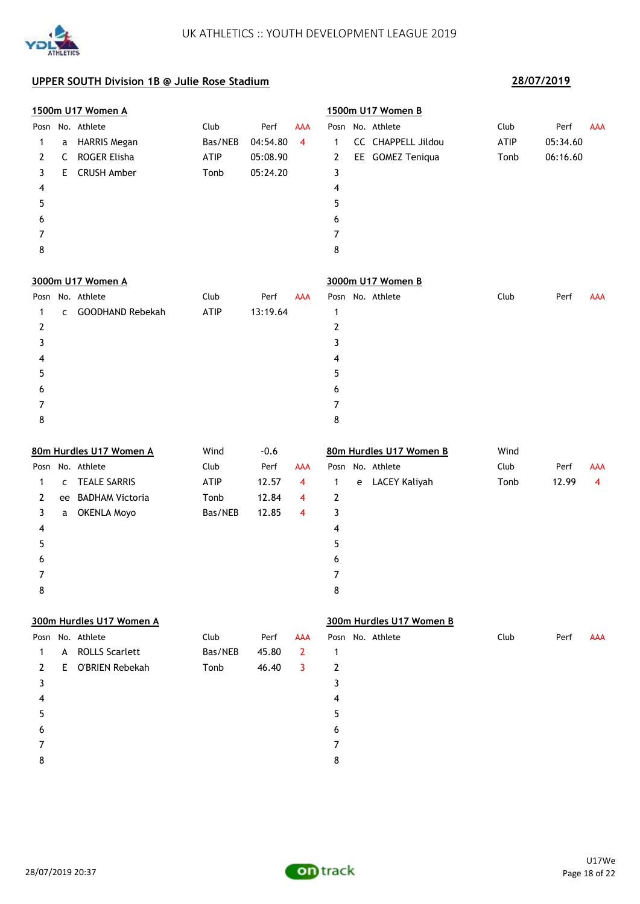

|      |    | 1500m U17 Women A        |         |          |              |              | 1500m U17 Women B        |             |          |                |
|------|----|--------------------------|---------|----------|--------------|--------------|--------------------------|-------------|----------|----------------|
| Posn |    | No. Athlete              | Club    | Perf     | <b>AAA</b>   |              | Posn No. Athlete         | Club        | Perf     | <b>AAA</b>     |
| 1    | a  | <b>HARRIS Megan</b>      | Bas/NEB | 04:54.80 | 4            | 1            | CC CHAPPELL Jildou       | <b>ATIP</b> | 05:34.60 |                |
| 2    | C  | ROGER Elisha             | ATIP    | 05:08.90 |              | 2            | EE GOMEZ Teniqua         | Tonb        | 06:16.60 |                |
| 3    | Е  | <b>CRUSH Amber</b>       | Tonb    | 05:24.20 |              | 3            |                          |             |          |                |
| 4    |    |                          |         |          |              | 4            |                          |             |          |                |
| 5    |    |                          |         |          |              | 5            |                          |             |          |                |
| 6    |    |                          |         |          |              | 6            |                          |             |          |                |
| 7    |    |                          |         |          |              | 7            |                          |             |          |                |
| 8    |    |                          |         |          |              | 8            |                          |             |          |                |
|      |    | 3000m U17 Women A        |         |          |              |              | 3000m U17 Women B        |             |          |                |
|      |    | Posn No. Athlete         | Club    | Perf     | <b>AAA</b>   |              | Posn No. Athlete         | Club        | Perf     | AAA            |
| 1    | C  | GOODHAND Rebekah         | ATIP    | 13:19.64 |              | 1            |                          |             |          |                |
| 2    |    |                          |         |          |              | 2            |                          |             |          |                |
| 3    |    |                          |         |          |              | 3            |                          |             |          |                |
| 4    |    |                          |         |          |              | 4            |                          |             |          |                |
| 5    |    |                          |         |          |              | 5            |                          |             |          |                |
| 6    |    |                          |         |          |              | 6            |                          |             |          |                |
| 7    |    |                          |         |          |              | 7            |                          |             |          |                |
| 8    |    |                          |         |          |              | 8            |                          |             |          |                |
|      |    | 80m Hurdles U17 Women A  | Wind    | $-0.6$   |              |              | 80m Hurdles U17 Women B  | Wind        |          |                |
|      |    | Posn No. Athlete         | Club    | Perf     | <b>AAA</b>   |              | Posn No. Athlete         | Club        | Perf     | AAA            |
| 1    | c  | <b>TEALE SARRIS</b>      | ATIP    | 12.57    | 4            | 1            | e LACEY Kaliyah          | Tonb        | 12.99    | $\overline{4}$ |
| 2    | ee | <b>BADHAM Victoria</b>   | Tonb    | 12.84    | 4            | 2            |                          |             |          |                |
| 3    | a  | <b>OKENLA Moyo</b>       | Bas/NEB | 12.85    | 4            | 3            |                          |             |          |                |
| 4    |    |                          |         |          |              | 4            |                          |             |          |                |
| 5    |    |                          |         |          |              | 5            |                          |             |          |                |
| 6    |    |                          |         |          |              | 6            |                          |             |          |                |
| 7    |    |                          |         |          |              | 7            |                          |             |          |                |
| 8    |    |                          |         |          |              | 8            |                          |             |          |                |
|      |    | 300m Hurdles U17 Women A |         |          |              |              | 300m Hurdles U17 Women B |             |          |                |
|      |    | Posn No. Athlete         | Club    | Perf     | <b>AAA</b>   |              | Posn No. Athlete         | Club        | Perf     | <b>AAA</b>     |
| 1    | A  | <b>ROLLS Scarlett</b>    | Bas/NEB | 45.80    | $\mathbf{2}$ | $\mathbf{1}$ |                          |             |          |                |
| 2    | E. | <b>O'BRIEN Rebekah</b>   | Tonb    | 46.40    | 3            | $\mathbf{2}$ |                          |             |          |                |
| 3    |    |                          |         |          |              | 3            |                          |             |          |                |
| 4    |    |                          |         |          |              | 4            |                          |             |          |                |
| 5    |    |                          |         |          |              | 5            |                          |             |          |                |
| 6    |    |                          |         |          |              | 6            |                          |             |          |                |
| 7    |    |                          |         |          |              | 7            |                          |             |          |                |
| 8    |    |                          |         |          |              | 8            |                          |             |          |                |

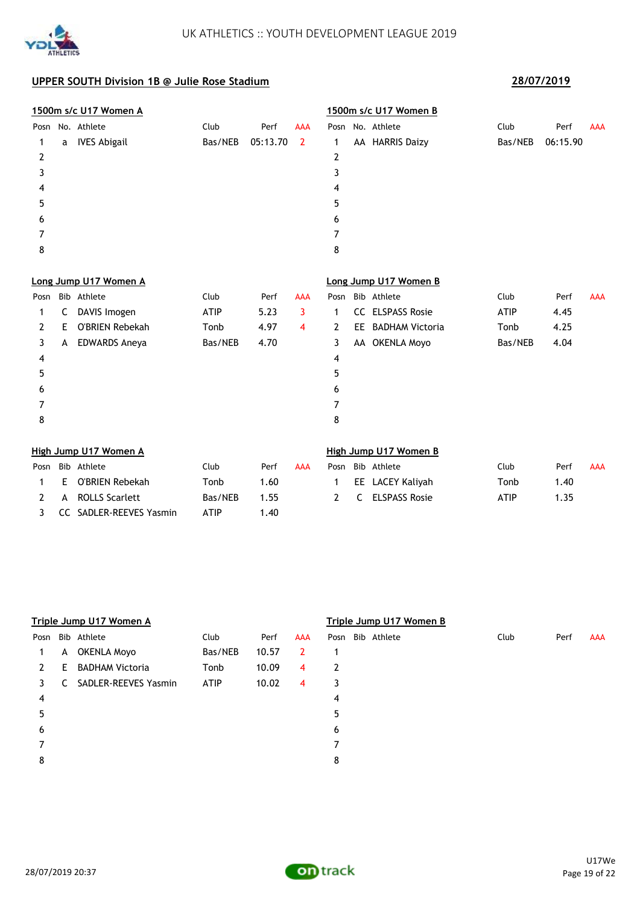

|              | 1500m s/c U17 Women A |                        |         |          |                | 1500m s/c U17 Women B |     |                        |         |          |            |  |
|--------------|-----------------------|------------------------|---------|----------|----------------|-----------------------|-----|------------------------|---------|----------|------------|--|
| Posn         |                       | No. Athlete            | Club    | Perf     | <b>AAA</b>     |                       |     | Posn No. Athlete       | Club    | Perf     | <b>AAA</b> |  |
| 1            | a                     | <b>IVES Abigail</b>    | Bas/NEB | 05:13.70 | $\overline{2}$ | 1                     |     | AA HARRIS Daizy        | Bas/NEB | 06:15.90 |            |  |
| 2            |                       |                        |         |          |                | 2                     |     |                        |         |          |            |  |
| 3            |                       |                        |         |          |                | 3                     |     |                        |         |          |            |  |
| 4            |                       |                        |         |          |                | 4                     |     |                        |         |          |            |  |
| 5            |                       |                        |         |          |                | 5                     |     |                        |         |          |            |  |
| 6            |                       |                        |         |          |                | 6                     |     |                        |         |          |            |  |
| 7            |                       |                        |         |          |                | 7                     |     |                        |         |          |            |  |
| 8            |                       |                        |         |          |                | 8                     |     |                        |         |          |            |  |
|              |                       | Long Jump U17 Women A  |         |          |                |                       |     | Long Jump U17 Women B  |         |          |            |  |
| Posn         |                       | Bib Athlete            | Club    | Perf     | <b>AAA</b>     | Posn                  |     | Bib Athlete            | Club    | Perf     | <b>AAA</b> |  |
| 1            | C                     | DAVIS Imogen           | ATIP    | 5.23     | 3              | 1                     | CC. | <b>ELSPASS Rosie</b>   | ATIP    | 4.45     |            |  |
| $\mathbf{2}$ | E                     | O'BRIEN Rebekah        | Tonb    | 4.97     | $\overline{4}$ | 2                     | EE. | <b>BADHAM Victoria</b> | Tonb    | 4.25     |            |  |
| 3            | A                     | <b>EDWARDS Aneya</b>   | Bas/NEB | 4.70     |                | 3                     |     | AA OKENLA Moyo         | Bas/NEB | 4.04     |            |  |
| 4            |                       |                        |         |          |                | 4                     |     |                        |         |          |            |  |
| 5            |                       |                        |         |          |                | 5                     |     |                        |         |          |            |  |
| 6            |                       |                        |         |          |                | 6                     |     |                        |         |          |            |  |
| 7            |                       |                        |         |          |                | 7                     |     |                        |         |          |            |  |
| 8            |                       |                        |         |          |                | 8                     |     |                        |         |          |            |  |
|              |                       | High Jumn 1117 Women A |         |          |                |                       |     | High Jumn 1117 Women R |         |          |            |  |

|      |   | High Jump U17 Women A     |             |      |            | High Jump U17 Women B |  |                  |             |      |     |  |
|------|---|---------------------------|-------------|------|------------|-----------------------|--|------------------|-------------|------|-----|--|
| Posn |   | Bib Athlete               | Club        | Perf | <b>AAA</b> | Posn                  |  | Bib Athlete      | Club        | Perf | AAA |  |
|      | E | O'BRIEN Rebekah           | Tonb        | 1.60 |            |                       |  | EE LACEY Kaliyah | Tonb        | 1.40 |     |  |
|      | A | ROLLS Scarlett            | Bas/NEB     | 1.55 |            | 2                     |  | C ELSPASS Rosie  | <b>ATIP</b> | 1.35 |     |  |
|      |   | 3 CC SADLER-REEVES Yasmin | <b>ATIP</b> | 1.40 |            |                       |  |                  |             |      |     |  |

|      | Triple Jump U17 Women A |                        |             |       |     |   |  | Triple Jump U17 Women B |      |      |            |  |  |  |  |
|------|-------------------------|------------------------|-------------|-------|-----|---|--|-------------------------|------|------|------------|--|--|--|--|
| Posn |                         | Bib Athlete            | Club        | Perf  | AAA |   |  | Posn Bib Athlete        | Club | Perf | <b>AAA</b> |  |  |  |  |
|      | A                       | OKENLA Moyo            | Bas/NEB     | 10.57 | 2   |   |  |                         |      |      |            |  |  |  |  |
| 2    | E.                      | <b>BADHAM Victoria</b> | Tonb        | 10.09 | 4   | 2 |  |                         |      |      |            |  |  |  |  |
| 3.   | C.                      | SADLER-REEVES Yasmin   | <b>ATIP</b> | 10.02 | 4   | 3 |  |                         |      |      |            |  |  |  |  |
| 4    |                         |                        |             |       |     | 4 |  |                         |      |      |            |  |  |  |  |
| 5    |                         |                        |             |       |     | 5 |  |                         |      |      |            |  |  |  |  |
| 6    |                         |                        |             |       |     | 6 |  |                         |      |      |            |  |  |  |  |
|      |                         |                        |             |       |     |   |  |                         |      |      |            |  |  |  |  |
| 8    |                         |                        |             |       |     | 8 |  |                         |      |      |            |  |  |  |  |

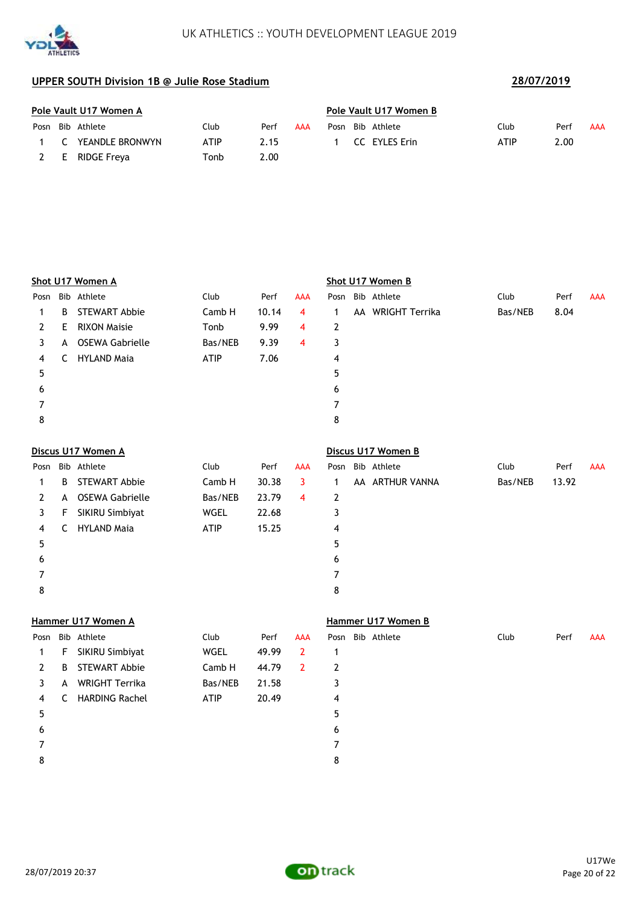

**ATHLETICS** 

|      | Pole Vault U17 Women A |             |      | Pole Vault U17 Women B |      |               |             |      |     |  |  |
|------|------------------------|-------------|------|------------------------|------|---------------|-------------|------|-----|--|--|
| Posn | Bib Athlete            | Club        | Perf | AAA                    | Posn | Bib Athlete   | Club        | Perf | AAA |  |  |
|      | C YEANDLE BRONWYN      | <b>ATIP</b> | 2.15 |                        |      | CC EYLES Erin | <b>ATIP</b> | 2.00 |     |  |  |
|      | 2 E RIDGE Freya        | Tonb        | 2.00 |                        |      |               |             |      |     |  |  |

|      | Shot U17 Women A |                      |             |       |            |      | Shot U17 Women B |                |         |      |            |  |  |  |
|------|------------------|----------------------|-------------|-------|------------|------|------------------|----------------|---------|------|------------|--|--|--|
| Posn |                  | Bib Athlete          | Club        | Perf  | <b>AAA</b> | Posn |                  | Bib Athlete    | Club    | Perf | <b>AAA</b> |  |  |  |
|      | B                | <b>STEWART Abbie</b> | Camb H      | 10.14 | 4          |      | AA               | WRIGHT Terrika | Bas/NEB | 8.04 |            |  |  |  |
| 2    | E.               | <b>RIXON Maisie</b>  | Tonb        | 9.99  | 4          | 2    |                  |                |         |      |            |  |  |  |
| 3    | A                | OSEWA Gabrielle      | Bas/NEB     | 9.39  | 4          | 3    |                  |                |         |      |            |  |  |  |
| 4    | C                | <b>HYLAND Maja</b>   | <b>ATIP</b> | 7.06  |            | 4    |                  |                |         |      |            |  |  |  |
| 5    |                  |                      |             |       |            | 5    |                  |                |         |      |            |  |  |  |
| 6    |                  |                      |             |       |            | 6    |                  |                |         |      |            |  |  |  |
|      |                  |                      |             |       |            | 7    |                  |                |         |      |            |  |  |  |
| 8    |                  |                      |             |       |            | 8    |                  |                |         |      |            |  |  |  |
|      |                  |                      |             |       |            |      |                  |                |         |      |            |  |  |  |

| Discus U17 Women A |                      |             |       |     |      |  | Discus U17 Women B |                                |       |            |  |  |  |
|--------------------|----------------------|-------------|-------|-----|------|--|--------------------|--------------------------------|-------|------------|--|--|--|
|                    |                      | Club        | Perf  | AAA | Posn |  |                    | Club                           | Perf  | <b>AAA</b> |  |  |  |
| B                  | <b>STEWART Abbie</b> | Camb H      | 30.38 | 3   |      |  |                    | Bas/NEB                        | 13.92 |            |  |  |  |
| A                  | OSEWA Gabrielle      | Bas/NEB     | 23.79 | 4   | 2    |  |                    |                                |       |            |  |  |  |
| F                  | SIKIRU Simbiyat      | WGEL        | 22.68 |     | 3    |  |                    |                                |       |            |  |  |  |
|                    | <b>HYLAND Maja</b>   | <b>ATIP</b> | 15.25 |     | 4    |  |                    |                                |       |            |  |  |  |
|                    |                      |             |       |     | 5    |  |                    |                                |       |            |  |  |  |
|                    |                      |             |       |     | 6    |  |                    |                                |       |            |  |  |  |
|                    |                      |             |       |     | 7    |  |                    |                                |       |            |  |  |  |
|                    |                      |             |       |     | 8    |  |                    |                                |       |            |  |  |  |
|                    |                      | Bib Athlete |       |     |      |  |                    | Bib Athlete<br>AA ARTHUR VANNA |       |            |  |  |  |

### **Hammer U17 Women A Hammer U17 Women B**

| Posn |    | Bib Athlete           | Club        | Perf  | AAA |   | Posn Bib Athlete | Club | Perf | <b>AAA</b> |
|------|----|-----------------------|-------------|-------|-----|---|------------------|------|------|------------|
| 1    | F. | SIKIRU Simbiyat       | WGEL        | 49.99 | -2  |   |                  |      |      |            |
| 2    | B  | <b>STEWART Abbie</b>  | Camb H      | 44.79 | -2  | 2 |                  |      |      |            |
| 3    | A  | <b>WRIGHT Terrika</b> | Bas/NEB     | 21.58 |     | 3 |                  |      |      |            |
| 4    | C  | <b>HARDING Rachel</b> | <b>ATIP</b> | 20.49 |     | 4 |                  |      |      |            |
| 5    |    |                       |             |       |     | 5 |                  |      |      |            |
| 6    |    |                       |             |       |     | 6 |                  |      |      |            |
| 7    |    |                       |             |       |     |   |                  |      |      |            |
| 8    |    |                       |             |       |     | 8 |                  |      |      |            |
|      |    |                       |             |       |     |   |                  |      |      |            |

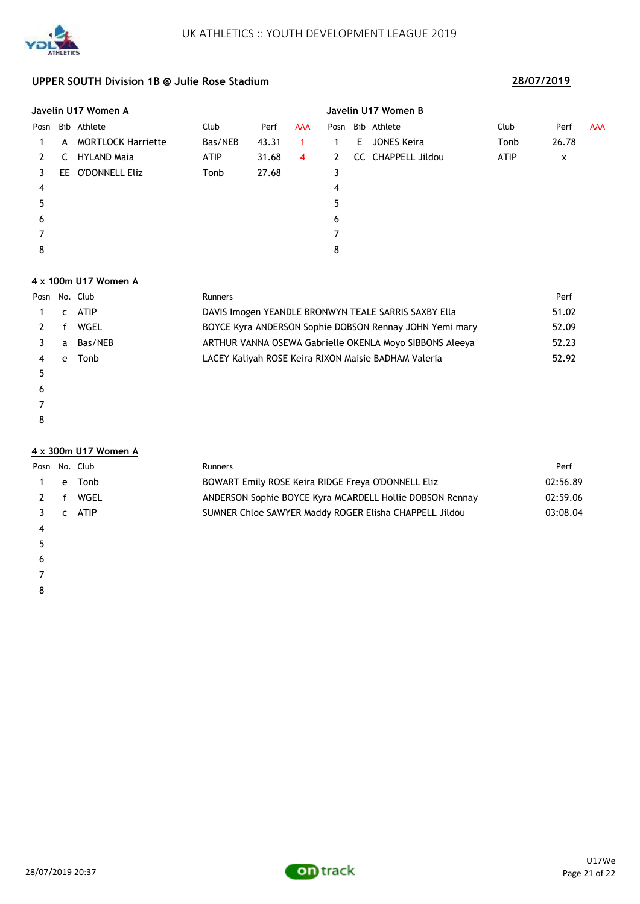

|      |   | <u>Javelin U17 Women A</u> |         |       |            | Javelin U17 Women B |       |                    |             |       |            |  |
|------|---|----------------------------|---------|-------|------------|---------------------|-------|--------------------|-------------|-------|------------|--|
| Posn |   | Bib Athlete                | Club    | Perf  | <b>AAA</b> | Posn                |       | Bib Athlete        | Club        | Perf  | <b>AAA</b> |  |
|      | A | <b>MORTLOCK Harriette</b>  | Bas/NEB | 43.31 |            |                     | - E - | JONES Keira        | Tonb        | 26.78 |            |  |
|      | C | <b>HYLAND Maja</b>         | ATIP    | 31.68 | 4          | $\mathbf{2}$        |       | CC CHAPPELL Jildou | <b>ATIP</b> | x     |            |  |
|      |   | EE O'DONNELL Eliz          | Tonb    | 27.68 |            | 3                   |       |                    |             |       |            |  |
| 4    |   |                            |         |       |            | 4                   |       |                    |             |       |            |  |
| 5    |   |                            |         |       |            | 5                   |       |                    |             |       |            |  |
| 6    |   |                            |         |       |            | 6                   |       |                    |             |       |            |  |
|      |   |                            |         |       |            |                     |       |                    |             |       |            |  |
| 8    |   |                            |         |       |            | 8                   |       |                    |             |       |            |  |

### **4 x 100m U17 Women A**

|   |              | Posn No. Club | Runners                                                 | Perf  |
|---|--------------|---------------|---------------------------------------------------------|-------|
|   | $\mathsf{C}$ | ATIP          | DAVIS Imogen YEANDLE BRONWYN TEALE SARRIS SAXBY Ella    | 51.02 |
|   |              | WGEL          | BOYCE Kyra ANDERSON Sophie DOBSON Rennay JOHN Yemi mary | 52.09 |
|   | a            | Bas/NEB       | ARTHUR VANNA OSEWA Gabrielle OKENLA Moyo SIBBONS Aleeya | 52.23 |
|   | e            | Tonb          | LACEY Kaliyah ROSE Keira RIXON Maisie BADHAM Valeria    | 52.92 |
|   |              |               |                                                         |       |
| 6 |              |               |                                                         |       |

- 
- 

### **4 x 300m U17 Women A**

|                | Posn No. Club | <b>Runners</b>                                           | Perf     |
|----------------|---------------|----------------------------------------------------------|----------|
| $\overline{1}$ | e Tonb        | BOWART Emily ROSE Keira RIDGE Freya O'DONNELL Eliz       | 02:56.89 |
|                | 2 f WGEL      | ANDERSON Sophie BOYCE Kyra MCARDELL Hollie DOBSON Rennay | 02:59.06 |
|                | 3 c ATIP      | SUMNER Chloe SAWYER Maddy ROGER Elisha CHAPPELL Jildou   | 03:08.04 |
| -4             |               |                                                          |          |

- 
- $5<sub>5</sub>$
- $\epsilon$
- 
-